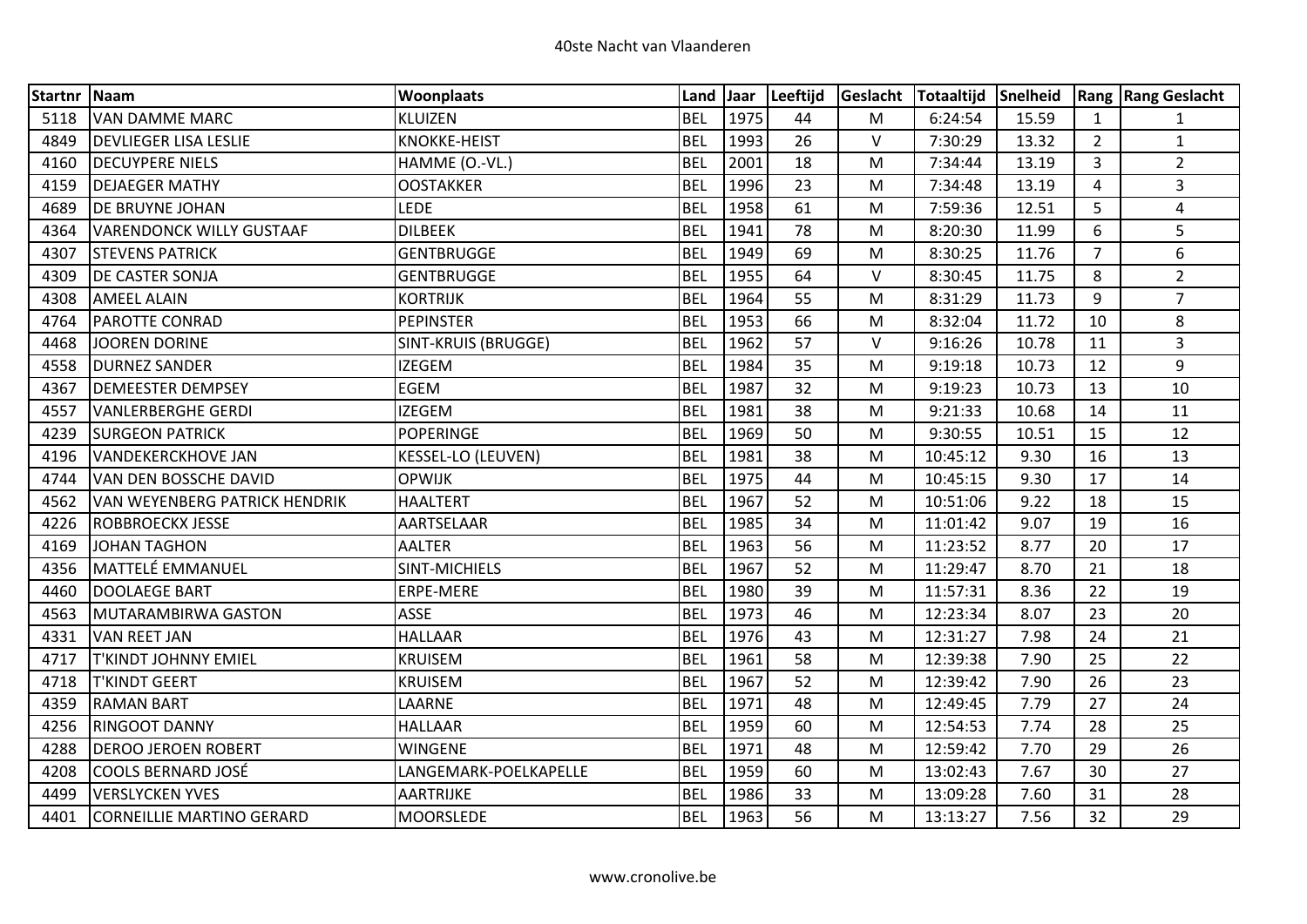| Startnr Naam |                                      | <b>Woonplaats</b>     | Land Jaar  |      | Leeftijd |           | Geslacht Totaaltijd Snelheid |       |                | <b>Rang Rang Geslacht</b> |
|--------------|--------------------------------------|-----------------------|------------|------|----------|-----------|------------------------------|-------|----------------|---------------------------|
| 5118         | <b>VAN DAMME MARC</b>                | KLUIZEN               | <b>BEL</b> | 1975 | 44       | M         | 6:24:54                      | 15.59 | $\mathbf{1}$   | $\mathbf{1}$              |
| 4849         | <b>DEVLIEGER LISA LESLIE</b>         | <b>KNOKKE-HEIST</b>   | <b>BEL</b> | 1993 | 26       | V         | 7:30:29                      | 13.32 | $\overline{2}$ | $\mathbf{1}$              |
| 4160         | <b>DECUYPERE NIELS</b>               | HAMME (O.-VL.)        | <b>BEL</b> | 2001 | 18       | M         | 7:34:44                      | 13.19 | 3              | $\overline{2}$            |
| 4159         | <b>DEJAEGER MATHY</b>                | <b>OOSTAKKER</b>      | <b>BEL</b> | 1996 | 23       | M         | 7:34:48                      | 13.19 | 4              | $\overline{3}$            |
| 4689         | <b>DE BRUYNE JOHAN</b>               | <b>LEDE</b>           | <b>BEL</b> | 1958 | 61       | M         | 7:59:36                      | 12.51 | 5              | $\overline{4}$            |
| 4364         | <b>VARENDONCK WILLY GUSTAAF</b>      | <b>DILBEEK</b>        | <b>BEL</b> | 1941 | 78       | M         | 8:20:30                      | 11.99 | 6              | 5                         |
| 4307         | <b>STEVENS PATRICK</b>               | <b>GENTBRUGGE</b>     | <b>BEL</b> | 1949 | 69       | M         | 8:30:25                      | 11.76 | $\overline{7}$ | 6                         |
| 4309         | <b>DE CASTER SONJA</b>               | <b>GENTBRUGGE</b>     | <b>BEL</b> | 1955 | 64       | V         | 8:30:45                      | 11.75 | 8              | $\overline{2}$            |
| 4308         | <b>AMEEL ALAIN</b>                   | <b>KORTRIJK</b>       | <b>BEL</b> | 1964 | 55       | ${\sf M}$ | 8:31:29                      | 11.73 | 9              | $\overline{7}$            |
| 4764         | <b>PAROTTE CONRAD</b>                | <b>PEPINSTER</b>      | <b>BEL</b> | 1953 | 66       | M         | 8:32:04                      | 11.72 | 10             | 8                         |
| 4468         | JOOREN DORINE                        | SINT-KRUIS (BRUGGE)   | <b>BEL</b> | 1962 | 57       | V         | 9:16:26                      | 10.78 | 11             | $\overline{3}$            |
| 4558         | <b>DURNEZ SANDER</b>                 | <b>IZEGEM</b>         | <b>BEL</b> | 1984 | 35       | M         | 9:19:18                      | 10.73 | 12             | 9                         |
| 4367         | <b>DEMEESTER DEMPSEY</b>             | <b>EGEM</b>           | <b>BEL</b> | 1987 | 32       | M         | 9:19:23                      | 10.73 | 13             | 10                        |
| 4557         | <b>VANLERBERGHE GERDI</b>            | <b>IZEGEM</b>         | <b>BEL</b> | 1981 | 38       | M         | 9:21:33                      | 10.68 | 14             | 11                        |
| 4239         | <b>SURGEON PATRICK</b>               | POPERINGE             | <b>BEL</b> | 1969 | 50       | M         | 9:30:55                      | 10.51 | 15             | 12                        |
| 4196         | <b>VANDEKERCKHOVE JAN</b>            | KESSEL-LO (LEUVEN)    | <b>BEL</b> | 1981 | 38       | M         | 10:45:12                     | 9.30  | 16             | 13                        |
| 4744         | VAN DEN BOSSCHE DAVID                | <b>OPWIJK</b>         | <b>BEL</b> | 1975 | 44       | M         | 10:45:15                     | 9.30  | 17             | 14                        |
| 4562         | <b>VAN WEYENBERG PATRICK HENDRIK</b> | <b>HAALTERT</b>       | <b>BEL</b> | 1967 | 52       | M         | 10:51:06                     | 9.22  | 18             | 15                        |
| 4226         | <b>ROBBROECKX JESSE</b>              | AARTSELAAR            | <b>BEL</b> | 1985 | 34       | M         | 11:01:42                     | 9.07  | 19             | 16                        |
| 4169         | JOHAN TAGHON                         | <b>AALTER</b>         | <b>BEL</b> | 1963 | 56       | M         | 11:23:52                     | 8.77  | 20             | 17                        |
| 4356         | MATTELÉ EMMANUEL                     | <b>SINT-MICHIELS</b>  | <b>BEL</b> | 1967 | 52       | ${\sf M}$ | 11:29:47                     | 8.70  | 21             | 18                        |
| 4460         | DOOLAEGE BART                        | ERPE-MERE             | <b>BEL</b> | 1980 | 39       | M         | 11:57:31                     | 8.36  | 22             | 19                        |
| 4563         | MUTARAMBIRWA GASTON                  | <b>ASSE</b>           | <b>BEL</b> | 1973 | 46       | M         | 12:23:34                     | 8.07  | 23             | 20                        |
| 4331         | VAN REET JAN                         | <b>HALLAAR</b>        | <b>BEL</b> | 1976 | 43       | M         | 12:31:27                     | 7.98  | 24             | 21                        |
| 4717         | <b>T'KINDT JOHNNY EMIEL</b>          | <b>KRUISEM</b>        | <b>BEL</b> | 1961 | 58       | M         | 12:39:38                     | 7.90  | 25             | 22                        |
| 4718         | <b>T'KINDT GEERT</b>                 | <b>KRUISEM</b>        | <b>BEL</b> | 1967 | 52       | M         | 12:39:42                     | 7.90  | 26             | 23                        |
| 4359         | <b>RAMAN BART</b>                    | LAARNE                | <b>BEL</b> | 1971 | 48       | M         | 12:49:45                     | 7.79  | 27             | 24                        |
| 4256         | <b>RINGOOT DANNY</b>                 | <b>HALLAAR</b>        | <b>BEL</b> | 1959 | 60       | M         | 12:54:53                     | 7.74  | 28             | 25                        |
| 4288         | <b>DEROO JEROEN ROBERT</b>           | WINGENE               | <b>BEL</b> | 1971 | 48       | M         | 12:59:42                     | 7.70  | 29             | 26                        |
| 4208         | COOLS BERNARD JOSÉ                   | LANGEMARK-POELKAPELLE | <b>BEL</b> | 1959 | 60       | M         | 13:02:43                     | 7.67  | 30             | 27                        |
| 4499         | <b>VERSLYCKEN YVES</b>               | AARTRIJKE             | <b>BEL</b> | 1986 | 33       | M         | 13:09:28                     | 7.60  | 31             | 28                        |
| 4401         | CORNEILLIE MARTINO GERARD            | MOORSLEDE             | <b>BEL</b> | 1963 | 56       | M         | 13:13:27                     | 7.56  | 32             | 29                        |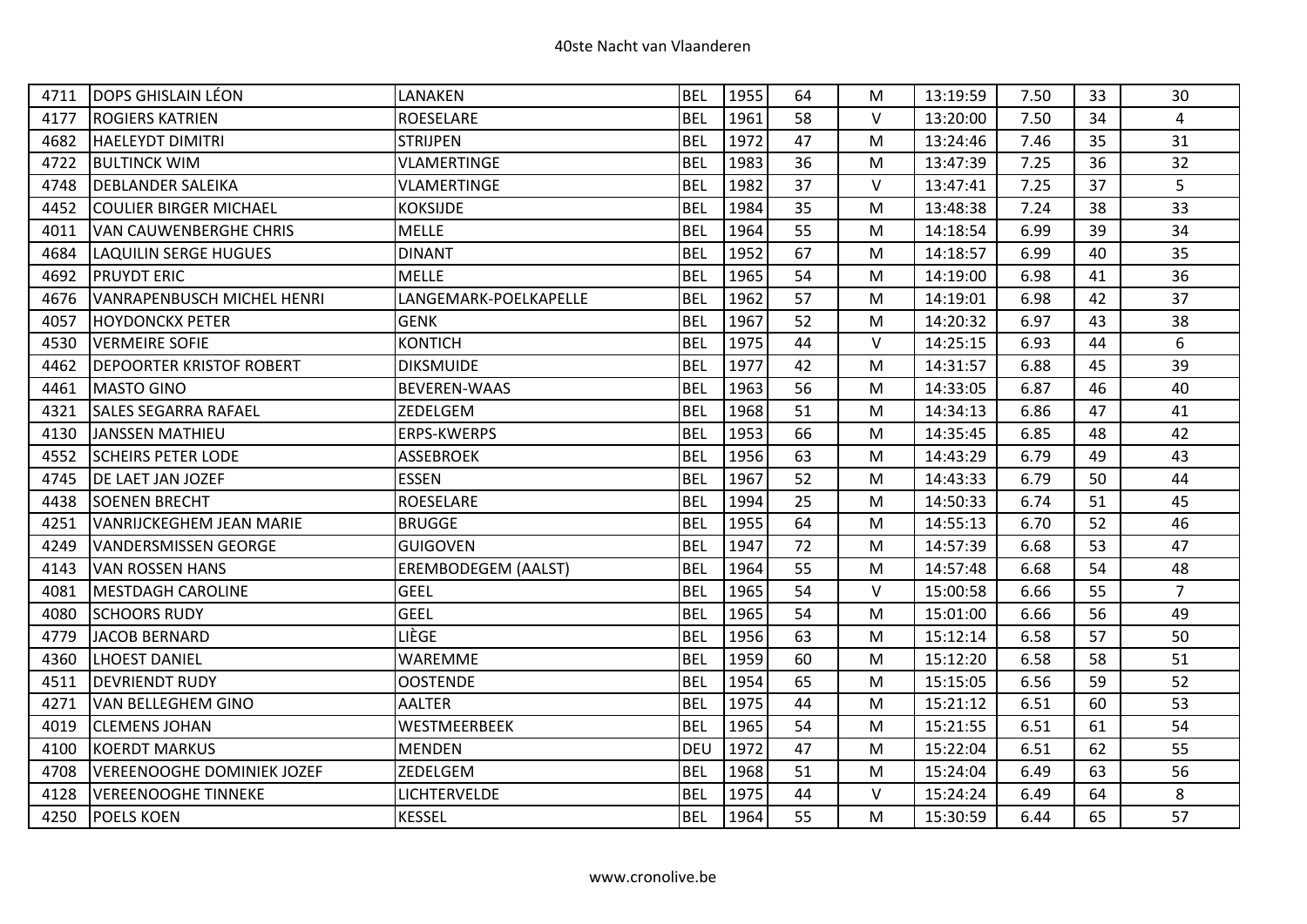| 4711 | <b>DOPS GHISLAIN LÉON</b>         | LANAKEN                    | <b>BEL</b> | 1955 | 64 | М      | 13:19:59 | 7.50 | 33 | 30             |
|------|-----------------------------------|----------------------------|------------|------|----|--------|----------|------|----|----------------|
| 4177 | <b>ROGIERS KATRIEN</b>            | <b>ROESELARE</b>           | <b>BEL</b> | 1961 | 58 | $\vee$ | 13:20:00 | 7.50 | 34 | $\overline{4}$ |
| 4682 | HAELEYDT DIMITRI                  | <b>STRIJPEN</b>            | <b>BEL</b> | 1972 | 47 | М      | 13:24:46 | 7.46 | 35 | 31             |
| 4722 | <b>BULTINCK WIM</b>               | <b>VLAMERTINGE</b>         | <b>BEL</b> | 1983 | 36 | M      | 13:47:39 | 7.25 | 36 | 32             |
| 4748 | <b>DEBLANDER SALEIKA</b>          | VLAMERTINGE                | <b>BEL</b> | 1982 | 37 | $\vee$ | 13:47:41 | 7.25 | 37 | 5              |
| 4452 | <b>COULIER BIRGER MICHAEL</b>     | <b>KOKSIJDE</b>            | <b>BEL</b> | 1984 | 35 | M      | 13:48:38 | 7.24 | 38 | 33             |
| 4011 | <b>VAN CAUWENBERGHE CHRIS</b>     | <b>MELLE</b>               | <b>BEL</b> | 1964 | 55 | м      | 14:18:54 | 6.99 | 39 | 34             |
| 4684 | <b>LAQUILIN SERGE HUGUES</b>      | <b>DINANT</b>              | <b>BEL</b> | 1952 | 67 | M      | 14:18:57 | 6.99 | 40 | 35             |
| 4692 | <b>PRUYDT ERIC</b>                | <b>MELLE</b>               | <b>BEL</b> | 1965 | 54 | M      | 14:19:00 | 6.98 | 41 | 36             |
| 4676 | <b>VANRAPENBUSCH MICHEL HENRI</b> | LANGEMARK-POELKAPELLE      | <b>BEL</b> | 1962 | 57 | M      | 14:19:01 | 6.98 | 42 | 37             |
| 4057 | <b>HOYDONCKX PETER</b>            | <b>GENK</b>                | <b>BEL</b> | 1967 | 52 | М      | 14:20:32 | 6.97 | 43 | 38             |
| 4530 | <b>VERMEIRE SOFIE</b>             | <b>KONTICH</b>             | <b>BEL</b> | 1975 | 44 | $\vee$ | 14:25:15 | 6.93 | 44 | 6              |
| 4462 | <b>DEPOORTER KRISTOF ROBERT</b>   | <b>DIKSMUIDE</b>           | <b>BEL</b> | 1977 | 42 | М      | 14:31:57 | 6.88 | 45 | 39             |
| 4461 | <b>MASTO GINO</b>                 | <b>BEVEREN-WAAS</b>        | <b>BEL</b> | 1963 | 56 | M      | 14:33:05 | 6.87 | 46 | 40             |
| 4321 | <b>SALES SEGARRA RAFAEL</b>       | ZEDELGEM                   | <b>BEL</b> | 1968 | 51 | м      | 14:34:13 | 6.86 | 47 | 41             |
| 4130 | <b>JANSSEN MATHIEU</b>            | ERPS-KWERPS                | <b>BEL</b> | 1953 | 66 | M      | 14:35:45 | 6.85 | 48 | 42             |
| 4552 | <b>SCHEIRS PETER LODE</b>         | <b>ASSEBROEK</b>           | <b>BEL</b> | 1956 | 63 | M      | 14:43:29 | 6.79 | 49 | 43             |
| 4745 | DE LAET JAN JOZEF                 | <b>ESSEN</b>               | <b>BEL</b> | 1967 | 52 | M      | 14:43:33 | 6.79 | 50 | 44             |
| 4438 | <b>SOENEN BRECHT</b>              | <b>ROESELARE</b>           | <b>BEL</b> | 1994 | 25 | м      | 14:50:33 | 6.74 | 51 | 45             |
| 4251 | <b>VANRIJCKEGHEM JEAN MARIE</b>   | <b>BRUGGE</b>              | <b>BEL</b> | 1955 | 64 | M      | 14:55:13 | 6.70 | 52 | 46             |
| 4249 | <b>VANDERSMISSEN GEORGE</b>       | <b>GUIGOVEN</b>            | <b>BEL</b> | 1947 | 72 | M      | 14:57:39 | 6.68 | 53 | 47             |
| 4143 | <b>VAN ROSSEN HANS</b>            | <b>EREMBODEGEM (AALST)</b> | <b>BEL</b> | 1964 | 55 | M      | 14:57:48 | 6.68 | 54 | 48             |
| 4081 | <b>MESTDAGH CAROLINE</b>          | <b>GEEL</b>                | <b>BEL</b> | 1965 | 54 | $\vee$ | 15:00:58 | 6.66 | 55 | $\overline{7}$ |
| 4080 | <b>SCHOORS RUDY</b>               | <b>GEEL</b>                | <b>BEL</b> | 1965 | 54 | M      | 15:01:00 | 6.66 | 56 | 49             |
| 4779 | <b>JACOB BERNARD</b>              | LIÈGE                      | <b>BEL</b> | 1956 | 63 | M      | 15:12:14 | 6.58 | 57 | 50             |
| 4360 | <b>LHOEST DANIEL</b>              | WAREMME                    | <b>BEL</b> | 1959 | 60 | M      | 15:12:20 | 6.58 | 58 | 51             |
| 4511 | <b>DEVRIENDT RUDY</b>             | <b>OOSTENDE</b>            | <b>BEL</b> | 1954 | 65 | M      | 15:15:05 | 6.56 | 59 | 52             |
| 4271 | <b>VAN BELLEGHEM GINO</b>         | <b>AALTER</b>              | <b>BEL</b> | 1975 | 44 | М      | 15:21:12 | 6.51 | 60 | 53             |
| 4019 | <b>CLEMENS JOHAN</b>              | WESTMEERBEEK               | <b>BEL</b> | 1965 | 54 | M      | 15:21:55 | 6.51 | 61 | 54             |
| 4100 | <b>KOERDT MARKUS</b>              | <b>MENDEN</b>              | <b>DEU</b> | 1972 | 47 | M      | 15:22:04 | 6.51 | 62 | 55             |
| 4708 | VEREENOOGHE DOMINIEK JOZEF        | ZEDELGEM                   | <b>BEL</b> | 1968 | 51 | M      | 15:24:04 | 6.49 | 63 | 56             |
| 4128 | <b>VEREENOOGHE TINNEKE</b>        | LICHTERVELDE               | <b>BEL</b> | 1975 | 44 | V      | 15:24:24 | 6.49 | 64 | 8              |
| 4250 | <b>POELS KOEN</b>                 | <b>KESSEL</b>              | <b>BEL</b> | 1964 | 55 | M      | 15:30:59 | 6.44 | 65 | 57             |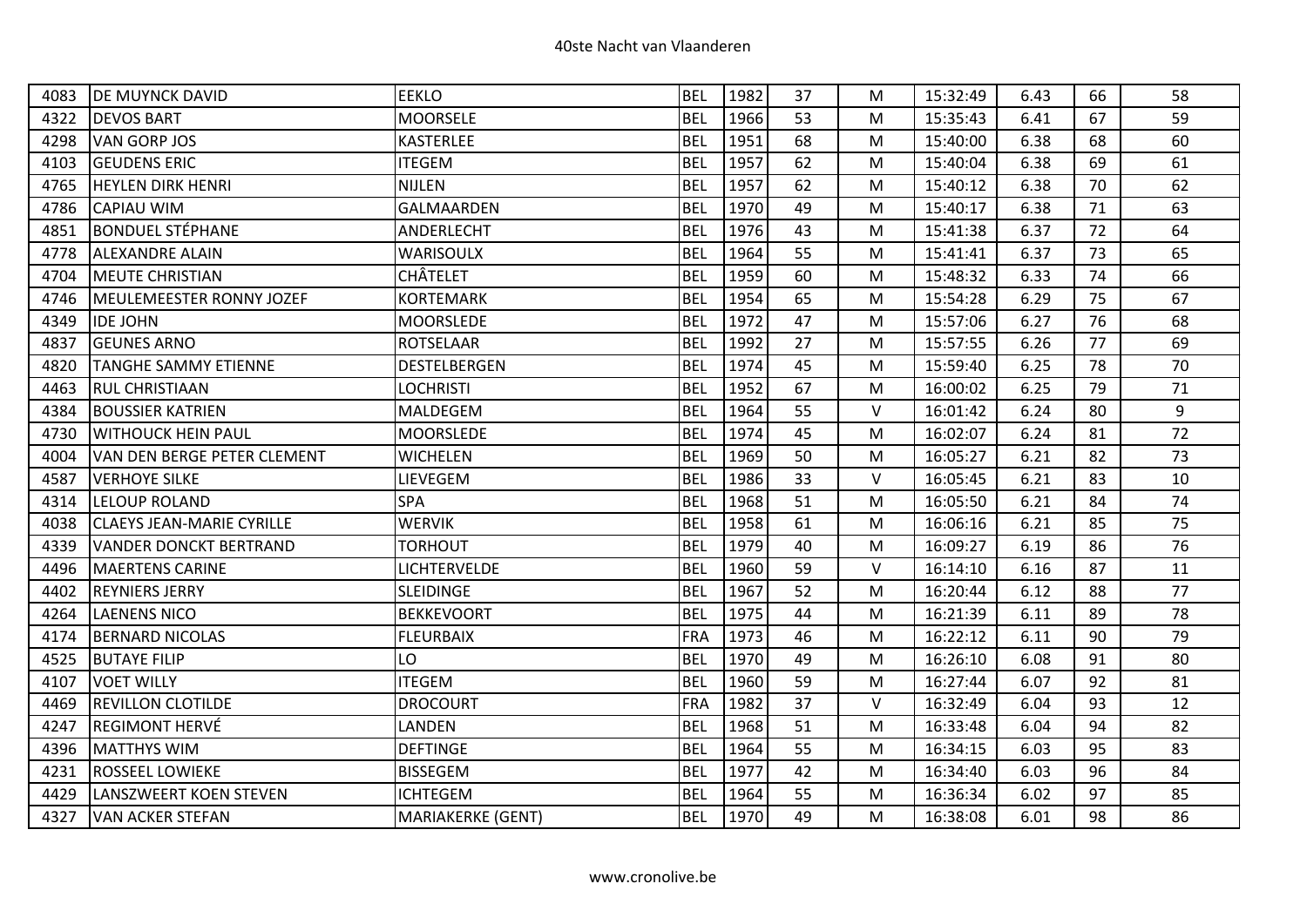| 4083 | <b>DE MUYNCK DAVID</b>           | <b>EEKLO</b>      | <b>BEL</b> | 1982 | 37 | M      | 15:32:49 | 6.43 | 66 | 58 |
|------|----------------------------------|-------------------|------------|------|----|--------|----------|------|----|----|
| 4322 | <b>DEVOS BART</b>                | <b>MOORSELE</b>   | <b>BEL</b> | 1966 | 53 | M      | 15:35:43 | 6.41 | 67 | 59 |
| 4298 | <b>VAN GORP JOS</b>              | <b>KASTERLEE</b>  | <b>BEL</b> | 1951 | 68 | M      | 15:40:00 | 6.38 | 68 | 60 |
| 4103 | <b>GEUDENS ERIC</b>              | <b>ITEGEM</b>     | <b>BEL</b> | 1957 | 62 | M      | 15:40:04 | 6.38 | 69 | 61 |
| 4765 | <b>HEYLEN DIRK HENRI</b>         | NIJLEN            | <b>BEL</b> | 1957 | 62 | M      | 15:40:12 | 6.38 | 70 | 62 |
| 4786 | <b>CAPIAU WIM</b>                | <b>GALMAARDEN</b> | <b>BEL</b> | 1970 | 49 | M      | 15:40:17 | 6.38 | 71 | 63 |
| 4851 | <b>BONDUEL STÉPHANE</b>          | ANDERLECHT        | <b>BEL</b> | 1976 | 43 | M      | 15:41:38 | 6.37 | 72 | 64 |
| 4778 | <b>ALEXANDRE ALAIN</b>           | <b>WARISOULX</b>  | <b>BEL</b> | 1964 | 55 | M      | 15:41:41 | 6.37 | 73 | 65 |
| 4704 | <b>MEUTE CHRISTIAN</b>           | CHÂTELET          | <b>BEL</b> | 1959 | 60 | M      | 15:48:32 | 6.33 | 74 | 66 |
| 4746 | MEULEMEESTER RONNY JOZEF         | <b>KORTEMARK</b>  | <b>BEL</b> | 1954 | 65 | M      | 15:54:28 | 6.29 | 75 | 67 |
| 4349 | <b>IDE JOHN</b>                  | <b>MOORSLEDE</b>  | <b>BEL</b> | 1972 | 47 | M      | 15:57:06 | 6.27 | 76 | 68 |
| 4837 | <b>GEUNES ARNO</b>               | <b>ROTSELAAR</b>  | <b>BEL</b> | 1992 | 27 | M      | 15:57:55 | 6.26 | 77 | 69 |
| 4820 | <b>TANGHE SAMMY ETIENNE</b>      | DESTELBERGEN      | <b>BEL</b> | 1974 | 45 | M      | 15:59:40 | 6.25 | 78 | 70 |
| 4463 | <b>RUL CHRISTIAAN</b>            | <b>LOCHRISTI</b>  | <b>BEL</b> | 1952 | 67 | M      | 16:00:02 | 6.25 | 79 | 71 |
| 4384 | <b>BOUSSIER KATRIEN</b>          | <b>MALDEGEM</b>   | <b>BEL</b> | 1964 | 55 | $\vee$ | 16:01:42 | 6.24 | 80 | 9  |
| 4730 | <b>WITHOUCK HEIN PAUL</b>        | MOORSLEDE         | <b>BEL</b> | 1974 | 45 | M      | 16:02:07 | 6.24 | 81 | 72 |
| 4004 | VAN DEN BERGE PETER CLEMENT      | <b>WICHELEN</b>   | <b>BEL</b> | 1969 | 50 | M      | 16:05:27 | 6.21 | 82 | 73 |
| 4587 | <b>VERHOYE SILKE</b>             | LIEVEGEM          | <b>BEL</b> | 1986 | 33 | $\vee$ | 16:05:45 | 6.21 | 83 | 10 |
| 4314 | <b>LELOUP ROLAND</b>             | SPA               | <b>BEL</b> | 1968 | 51 | M      | 16:05:50 | 6.21 | 84 | 74 |
| 4038 | <b>CLAEYS JEAN-MARIE CYRILLE</b> | <b>WERVIK</b>     | <b>BEL</b> | 1958 | 61 | M      | 16:06:16 | 6.21 | 85 | 75 |
| 4339 | <b>VANDER DONCKT BERTRAND</b>    | <b>TORHOUT</b>    | <b>BEL</b> | 1979 | 40 | M      | 16:09:27 | 6.19 | 86 | 76 |
| 4496 | <b>MAERTENS CARINE</b>           | LICHTERVELDE      | <b>BEL</b> | 1960 | 59 | $\vee$ | 16:14:10 | 6.16 | 87 | 11 |
| 4402 | <b>REYNIERS JERRY</b>            | <b>SLEIDINGE</b>  | <b>BEL</b> | 1967 | 52 | M      | 16:20:44 | 6.12 | 88 | 77 |
| 4264 | <b>LAENENS NICO</b>              | <b>BEKKEVOORT</b> | <b>BEL</b> | 1975 | 44 | M      | 16:21:39 | 6.11 | 89 | 78 |
| 4174 | <b>BERNARD NICOLAS</b>           | <b>FLEURBAIX</b>  | <b>FRA</b> | 1973 | 46 | M      | 16:22:12 | 6.11 | 90 | 79 |
| 4525 | <b>BUTAYE FILIP</b>              | LO                | <b>BEL</b> | 1970 | 49 | M      | 16:26:10 | 6.08 | 91 | 80 |
| 4107 | <b>VOET WILLY</b>                | <b>ITEGEM</b>     | <b>BEL</b> | 1960 | 59 | M      | 16:27:44 | 6.07 | 92 | 81 |
| 4469 | <b>REVILLON CLOTILDE</b>         | <b>DROCOURT</b>   | <b>FRA</b> | 1982 | 37 | V      | 16:32:49 | 6.04 | 93 | 12 |
| 4247 | <b>REGIMONT HERVÉ</b>            | LANDEN            | <b>BEL</b> | 1968 | 51 | M      | 16:33:48 | 6.04 | 94 | 82 |
| 4396 | <b>MATTHYS WIM</b>               | <b>DEFTINGE</b>   | <b>BEL</b> | 1964 | 55 | M      | 16:34:15 | 6.03 | 95 | 83 |
| 4231 | <b>ROSSEEL LOWIEKE</b>           | <b>BISSEGEM</b>   | <b>BEL</b> | 1977 | 42 | M      | 16:34:40 | 6.03 | 96 | 84 |
| 4429 | LANSZWEERT KOEN STEVEN           | <b>ICHTEGEM</b>   | <b>BEL</b> | 1964 | 55 | M      | 16:36:34 | 6.02 | 97 | 85 |
| 4327 | <b>VAN ACKER STEFAN</b>          | MARIAKERKE (GENT) | <b>BEL</b> | 1970 | 49 | M      | 16:38:08 | 6.01 | 98 | 86 |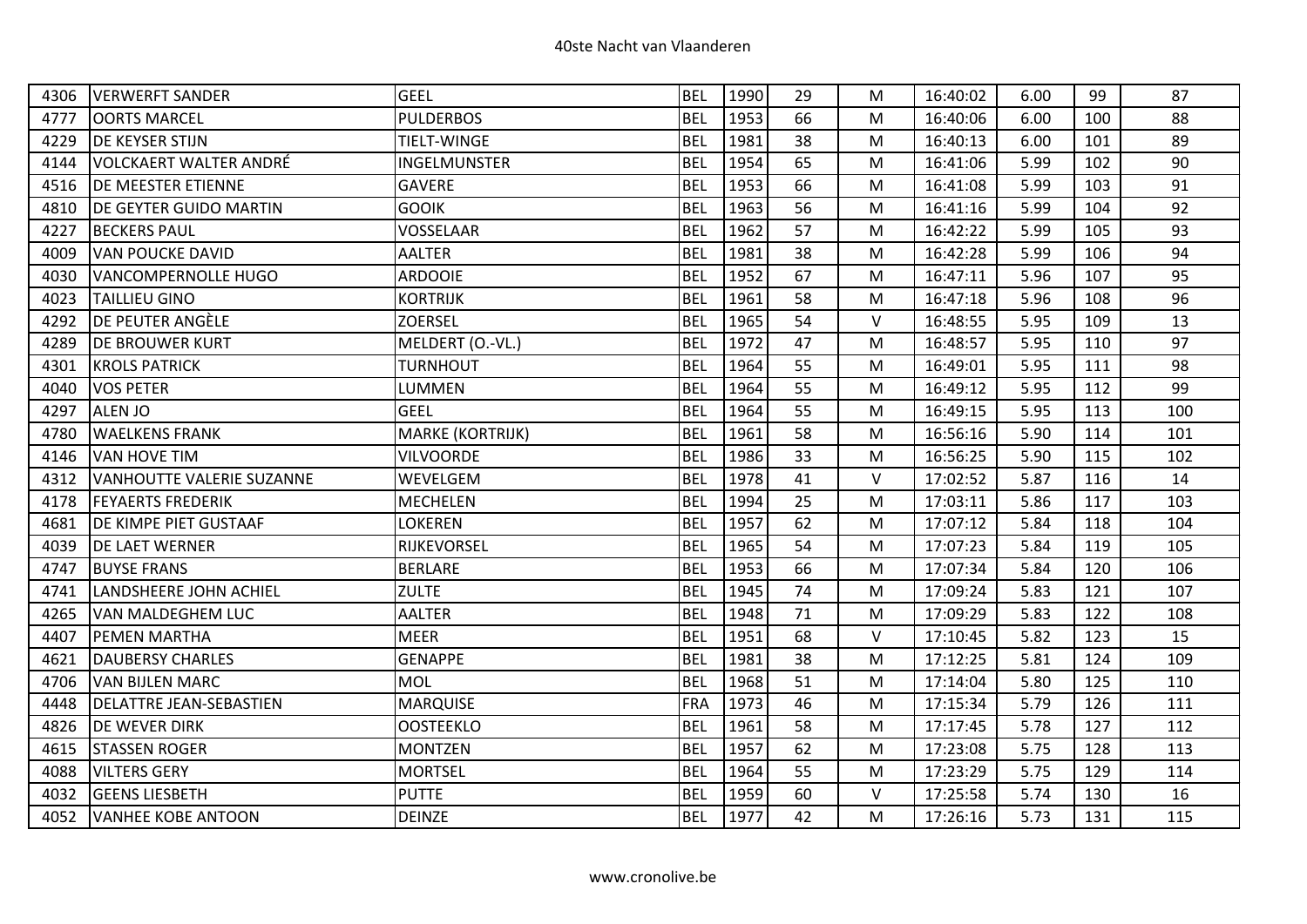| 4306 | <b>VERWERFT SANDER</b>           | <b>GEEL</b>             | <b>BEL</b> | 1990 | 29 | М      | 16:40:02 | 6.00 | 99  | 87  |
|------|----------------------------------|-------------------------|------------|------|----|--------|----------|------|-----|-----|
| 4777 | <b>OORTS MARCEL</b>              | <b>PULDERBOS</b>        | <b>BEL</b> | 1953 | 66 | M      | 16:40:06 | 6.00 | 100 | 88  |
| 4229 | <b>DE KEYSER STIJN</b>           | <b>TIELT-WINGE</b>      | <b>BEL</b> | 1981 | 38 | M      | 16:40:13 | 6.00 | 101 | 89  |
| 4144 | VOLCKAERT WALTER ANDRÉ           | INGELMUNSTER            | <b>BEL</b> | 1954 | 65 | M      | 16:41:06 | 5.99 | 102 | 90  |
| 4516 | <b>DE MEESTER ETIENNE</b>        | <b>GAVERE</b>           | <b>BEL</b> | 1953 | 66 | M      | 16:41:08 | 5.99 | 103 | 91  |
| 4810 | DE GEYTER GUIDO MARTIN           | <b>GOOIK</b>            | <b>BEL</b> | 1963 | 56 | M      | 16:41:16 | 5.99 | 104 | 92  |
| 4227 | <b>BECKERS PAUL</b>              | VOSSELAAR               | <b>BEL</b> | 1962 | 57 | M      | 16:42:22 | 5.99 | 105 | 93  |
| 4009 | <b>VAN POUCKE DAVID</b>          | <b>AALTER</b>           | <b>BEL</b> | 1981 | 38 | M      | 16:42:28 | 5.99 | 106 | 94  |
| 4030 | VANCOMPERNOLLE HUGO              | <b>ARDOOIE</b>          | <b>BEL</b> | 1952 | 67 | M      | 16:47:11 | 5.96 | 107 | 95  |
| 4023 | <b>TAILLIEU GINO</b>             | <b>KORTRIJK</b>         | <b>BEL</b> | 1961 | 58 | M      | 16:47:18 | 5.96 | 108 | 96  |
| 4292 | <b>DE PEUTER ANGÈLE</b>          | <b>ZOERSEL</b>          | <b>BEL</b> | 1965 | 54 | $\vee$ | 16:48:55 | 5.95 | 109 | 13  |
| 4289 | <b>DE BROUWER KURT</b>           | MELDERT (O.-VL.)        | <b>BEL</b> | 1972 | 47 | M      | 16:48:57 | 5.95 | 110 | 97  |
| 4301 | <b>KROLS PATRICK</b>             | <b>TURNHOUT</b>         | <b>BEL</b> | 1964 | 55 | м      | 16:49:01 | 5.95 | 111 | 98  |
| 4040 | <b>VOS PETER</b>                 | LUMMEN                  | <b>BEL</b> | 1964 | 55 | M      | 16:49:12 | 5.95 | 112 | 99  |
| 4297 | <b>ALEN JO</b>                   | <b>GEEL</b>             | <b>BEL</b> | 1964 | 55 | M      | 16:49:15 | 5.95 | 113 | 100 |
| 4780 | <b>WAELKENS FRANK</b>            | <b>MARKE (KORTRIJK)</b> | <b>BEL</b> | 1961 | 58 | M      | 16:56:16 | 5.90 | 114 | 101 |
| 4146 | <b>VAN HOVE TIM</b>              | <b>VILVOORDE</b>        | <b>BEL</b> | 1986 | 33 | M      | 16:56:25 | 5.90 | 115 | 102 |
| 4312 | <b>VANHOUTTE VALERIE SUZANNE</b> | WEVELGEM                | <b>BEL</b> | 1978 | 41 | $\vee$ | 17:02:52 | 5.87 | 116 | 14  |
| 4178 | <b>FEYAERTS FREDERIK</b>         | <b>MECHELEN</b>         | <b>BEL</b> | 1994 | 25 | M      | 17:03:11 | 5.86 | 117 | 103 |
| 4681 | DE KIMPE PIET GUSTAAF            | LOKEREN                 | <b>BEL</b> | 1957 | 62 | M      | 17:07:12 | 5.84 | 118 | 104 |
| 4039 | <b>DE LAET WERNER</b>            | RIJKEVORSEL             | <b>BEL</b> | 1965 | 54 | M      | 17:07:23 | 5.84 | 119 | 105 |
| 4747 | <b>BUYSE FRANS</b>               | <b>BERLARE</b>          | <b>BEL</b> | 1953 | 66 | M      | 17:07:34 | 5.84 | 120 | 106 |
| 4741 | <b>LANDSHEERE JOHN ACHIEL</b>    | <b>ZULTE</b>            | <b>BEL</b> | 1945 | 74 | M      | 17:09:24 | 5.83 | 121 | 107 |
| 4265 | <b>VAN MALDEGHEM LUC</b>         | <b>AALTER</b>           | <b>BEL</b> | 1948 | 71 | М      | 17:09:29 | 5.83 | 122 | 108 |
| 4407 | <b>PEMEN MARTHA</b>              | <b>MEER</b>             | <b>BEL</b> | 1951 | 68 | $\vee$ | 17:10:45 | 5.82 | 123 | 15  |
| 4621 | <b>DAUBERSY CHARLES</b>          | <b>GENAPPE</b>          | <b>BEL</b> | 1981 | 38 | M      | 17:12:25 | 5.81 | 124 | 109 |
| 4706 | <b>VAN BIJLEN MARC</b>           | MOL                     | <b>BEL</b> | 1968 | 51 | M      | 17:14:04 | 5.80 | 125 | 110 |
| 4448 | <b>DELATTRE JEAN-SEBASTIEN</b>   | <b>MARQUISE</b>         | <b>FRA</b> | 1973 | 46 | М      | 17:15:34 | 5.79 | 126 | 111 |
| 4826 | <b>DE WEVER DIRK</b>             | <b>OOSTEEKLO</b>        | <b>BEL</b> | 1961 | 58 | M      | 17:17:45 | 5.78 | 127 | 112 |
| 4615 | <b>STASSEN ROGER</b>             | <b>MONTZEN</b>          | <b>BEL</b> | 1957 | 62 | м      | 17:23:08 | 5.75 | 128 | 113 |
| 4088 | <b>VILTERS GERY</b>              | <b>MORTSEL</b>          | <b>BEL</b> | 1964 | 55 | M      | 17:23:29 | 5.75 | 129 | 114 |
| 4032 | <b>GEENS LIESBETH</b>            | <b>PUTTE</b>            | <b>BEL</b> | 1959 | 60 | $\vee$ | 17:25:58 | 5.74 | 130 | 16  |
| 4052 | <b>VANHEE KOBE ANTOON</b>        | <b>DEINZE</b>           | <b>BEL</b> | 1977 | 42 | M      | 17:26:16 | 5.73 | 131 | 115 |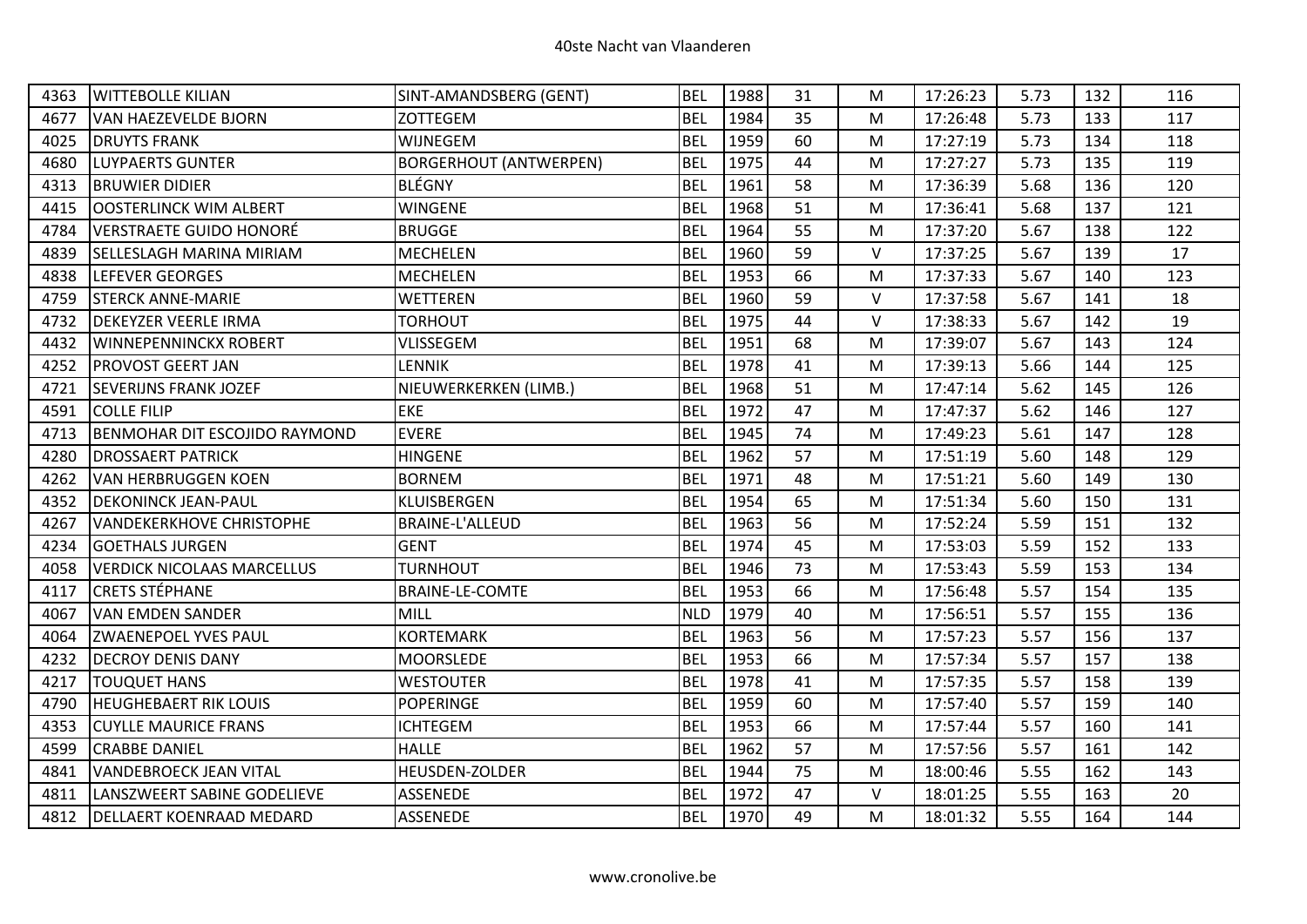| 4363 | <b>WITTEBOLLE KILIAN</b>             | SINT-AMANDSBERG (GENT)        | <b>BEL</b> | 1988 | 31 | М      | 17:26:23 | 5.73 | 132 | 116 |
|------|--------------------------------------|-------------------------------|------------|------|----|--------|----------|------|-----|-----|
| 4677 | VAN HAEZEVELDE BJORN                 | <b>ZOTTEGEM</b>               | <b>BEL</b> | 1984 | 35 | M      | 17:26:48 | 5.73 | 133 | 117 |
| 4025 | <b>DRUYTS FRANK</b>                  | WIJNEGEM                      | <b>BEL</b> | 1959 | 60 | M      | 17:27:19 | 5.73 | 134 | 118 |
| 4680 | <b>LUYPAERTS GUNTER</b>              | <b>BORGERHOUT (ANTWERPEN)</b> | <b>BEL</b> | 1975 | 44 | м      | 17:27:27 | 5.73 | 135 | 119 |
| 4313 | <b>BRUWIER DIDIER</b>                | <b>BLÉGNY</b>                 | <b>BEL</b> | 1961 | 58 | M      | 17:36:39 | 5.68 | 136 | 120 |
| 4415 | <b>OOSTERLINCK WIM ALBERT</b>        | <b>WINGENE</b>                | <b>BEL</b> | 1968 | 51 | M      | 17:36:41 | 5.68 | 137 | 121 |
| 4784 | <b>VERSTRAETE GUIDO HONORÉ</b>       | <b>BRUGGE</b>                 | <b>BEL</b> | 1964 | 55 | M      | 17:37:20 | 5.67 | 138 | 122 |
| 4839 | <b>SELLESLAGH MARINA MIRIAM</b>      | <b>MECHELEN</b>               | <b>BEL</b> | 1960 | 59 | $\vee$ | 17:37:25 | 5.67 | 139 | 17  |
| 4838 | <b>LEFEVER GEORGES</b>               | <b>MECHELEN</b>               | <b>BEL</b> | 1953 | 66 | M      | 17:37:33 | 5.67 | 140 | 123 |
| 4759 | <b>STERCK ANNE-MARIE</b>             | <b>WETTEREN</b>               | <b>BEL</b> | 1960 | 59 | $\vee$ | 17:37:58 | 5.67 | 141 | 18  |
| 4732 | <b>DEKEYZER VEERLE IRMA</b>          | <b>TORHOUT</b>                | <b>BEL</b> | 1975 | 44 | $\vee$ | 17:38:33 | 5.67 | 142 | 19  |
| 4432 | <b>WINNEPENNINCKX ROBERT</b>         | VLISSEGEM                     | <b>BEL</b> | 1951 | 68 | M      | 17:39:07 | 5.67 | 143 | 124 |
| 4252 | <b>PROVOST GEERT JAN</b>             | LENNIK                        | <b>BEL</b> | 1978 | 41 | М      | 17:39:13 | 5.66 | 144 | 125 |
| 4721 | <b>SEVERIJNS FRANK JOZEF</b>         | NIEUWERKERKEN (LIMB.)         | <b>BEL</b> | 1968 | 51 | M      | 17:47:14 | 5.62 | 145 | 126 |
| 4591 | <b>COLLE FILIP</b>                   | <b>EKE</b>                    | <b>BEL</b> | 1972 | 47 | M      | 17:47:37 | 5.62 | 146 | 127 |
| 4713 | <b>BENMOHAR DIT ESCOJIDO RAYMOND</b> | <b>EVERE</b>                  | <b>BEL</b> | 1945 | 74 | M      | 17:49:23 | 5.61 | 147 | 128 |
| 4280 | <b>DROSSAERT PATRICK</b>             | <b>HINGENE</b>                | <b>BEL</b> | 1962 | 57 | м      | 17:51:19 | 5.60 | 148 | 129 |
| 4262 | <b>VAN HERBRUGGEN KOEN</b>           | <b>BORNEM</b>                 | <b>BEL</b> | 1971 | 48 | M      | 17:51:21 | 5.60 | 149 | 130 |
| 4352 | <b>DEKONINCK JEAN-PAUL</b>           | <b>KLUISBERGEN</b>            | <b>BEL</b> | 1954 | 65 | м      | 17:51:34 | 5.60 | 150 | 131 |
| 4267 | <b>VANDEKERKHOVE CHRISTOPHE</b>      | <b>BRAINE-L'ALLEUD</b>        | <b>BEL</b> | 1963 | 56 | M      | 17:52:24 | 5.59 | 151 | 132 |
| 4234 | <b>GOETHALS JURGEN</b>               | <b>GENT</b>                   | <b>BEL</b> | 1974 | 45 | M      | 17:53:03 | 5.59 | 152 | 133 |
| 4058 | <b>VERDICK NICOLAAS MARCELLUS</b>    | <b>TURNHOUT</b>               | <b>BEL</b> | 1946 | 73 | M      | 17:53:43 | 5.59 | 153 | 134 |
| 4117 | <b>CRETS STÉPHANE</b>                | <b>BRAINE-LE-COMTE</b>        | <b>BEL</b> | 1953 | 66 | M      | 17:56:48 | 5.57 | 154 | 135 |
| 4067 | <b>VAN EMDEN SANDER</b>              | <b>MILL</b>                   | <b>NLD</b> | 1979 | 40 | M      | 17:56:51 | 5.57 | 155 | 136 |
| 4064 | <b>ZWAENEPOEL YVES PAUL</b>          | <b>KORTEMARK</b>              | <b>BEL</b> | 1963 | 56 | M      | 17:57:23 | 5.57 | 156 | 137 |
| 4232 | <b>DECROY DENIS DANY</b>             | <b>MOORSLEDE</b>              | <b>BEL</b> | 1953 | 66 | M      | 17:57:34 | 5.57 | 157 | 138 |
| 4217 | <b>TOUQUET HANS</b>                  | <b>WESTOUTER</b>              | <b>BEL</b> | 1978 | 41 | M      | 17:57:35 | 5.57 | 158 | 139 |
| 4790 | <b>HEUGHEBAERT RIK LOUIS</b>         | <b>POPERINGE</b>              | <b>BEL</b> | 1959 | 60 | М      | 17:57:40 | 5.57 | 159 | 140 |
| 4353 | <b>CUYLLE MAURICE FRANS</b>          | <b>ICHTEGEM</b>               | <b>BEL</b> | 1953 | 66 | M      | 17:57:44 | 5.57 | 160 | 141 |
| 4599 | <b>CRABBE DANIEL</b>                 | <b>HALLE</b>                  | <b>BEL</b> | 1962 | 57 | M      | 17:57:56 | 5.57 | 161 | 142 |
| 4841 | VANDEBROECK JEAN VITAL               | HEUSDEN-ZOLDER                | <b>BEL</b> | 1944 | 75 | M      | 18:00:46 | 5.55 | 162 | 143 |
| 4811 | LANSZWEERT SABINE GODELIEVE          | <b>ASSENEDE</b>               | <b>BEL</b> | 1972 | 47 | V      | 18:01:25 | 5.55 | 163 | 20  |
| 4812 | <b>DELLAERT KOENRAAD MEDARD</b>      | <b>ASSENEDE</b>               | <b>BEL</b> | 1970 | 49 | M      | 18:01:32 | 5.55 | 164 | 144 |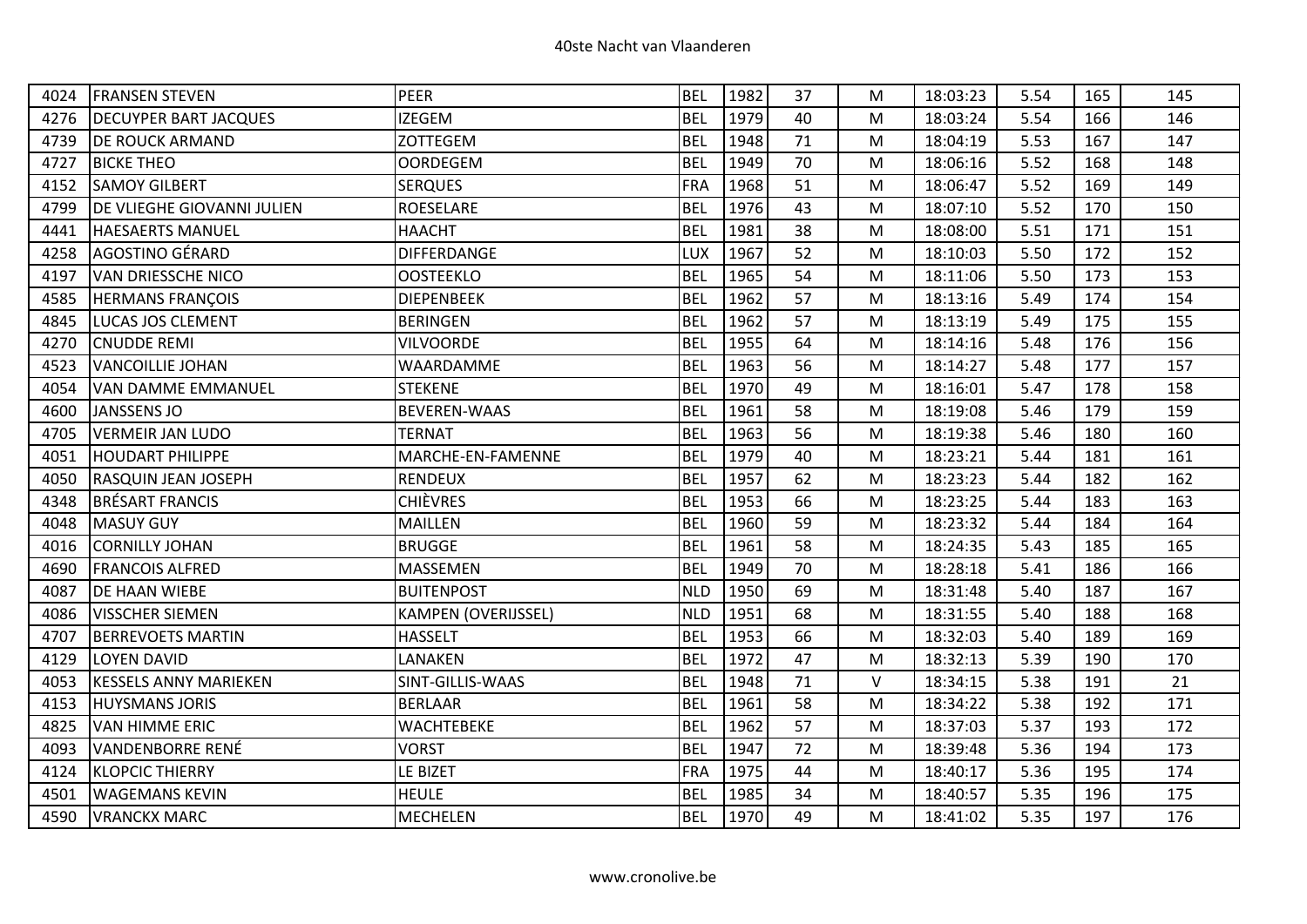| 4024 | <b>FRANSEN STEVEN</b>        | PEER                       | <b>BEL</b> | 1982 | 37 | M         | 18:03:23 | 5.54 | 165 | 145 |
|------|------------------------------|----------------------------|------------|------|----|-----------|----------|------|-----|-----|
| 4276 | <b>DECUYPER BART JACQUES</b> | <b>IZEGEM</b>              | <b>BEL</b> | 1979 | 40 | M         | 18:03:24 | 5.54 | 166 | 146 |
| 4739 | <b>DE ROUCK ARMAND</b>       | <b>ZOTTEGEM</b>            | <b>BEL</b> | 1948 | 71 | M         | 18:04:19 | 5.53 | 167 | 147 |
| 4727 | <b>BICKE THEO</b>            | <b>OORDEGEM</b>            | <b>BEL</b> | 1949 | 70 | M         | 18:06:16 | 5.52 | 168 | 148 |
| 4152 | <b>SAMOY GILBERT</b>         | <b>SERQUES</b>             | <b>FRA</b> | 1968 | 51 | M         | 18:06:47 | 5.52 | 169 | 149 |
| 4799 | DE VLIEGHE GIOVANNI JULIEN   | <b>ROESELARE</b>           | <b>BEL</b> | 1976 | 43 | ${\sf M}$ | 18:07:10 | 5.52 | 170 | 150 |
| 4441 | <b>HAESAERTS MANUEL</b>      | <b>HAACHT</b>              | <b>BEL</b> | 1981 | 38 | M         | 18:08:00 | 5.51 | 171 | 151 |
| 4258 | AGOSTINO GÉRARD              | DIFFERDANGE                | LUX        | 1967 | 52 | M         | 18:10:03 | 5.50 | 172 | 152 |
| 4197 | <b>VAN DRIESSCHE NICO</b>    | <b>OOSTEEKLO</b>           | <b>BEL</b> | 1965 | 54 | M         | 18:11:06 | 5.50 | 173 | 153 |
| 4585 | <b>HERMANS FRANÇOIS</b>      | <b>DIEPENBEEK</b>          | <b>BEL</b> | 1962 | 57 | M         | 18:13:16 | 5.49 | 174 | 154 |
| 4845 | <b>LUCAS JOS CLEMENT</b>     | <b>BERINGEN</b>            | <b>BEL</b> | 1962 | 57 | M         | 18:13:19 | 5.49 | 175 | 155 |
| 4270 | <b>CNUDDE REMI</b>           | <b>VILVOORDE</b>           | <b>BEL</b> | 1955 | 64 | M         | 18:14:16 | 5.48 | 176 | 156 |
| 4523 | <b>VANCOILLIE JOHAN</b>      | WAARDAMME                  | <b>BEL</b> | 1963 | 56 | M         | 18:14:27 | 5.48 | 177 | 157 |
| 4054 | <b>VAN DAMME EMMANUEL</b>    | <b>STEKENE</b>             | <b>BEL</b> | 1970 | 49 | M         | 18:16:01 | 5.47 | 178 | 158 |
| 4600 | JANSSENS JO                  | <b>BEVEREN-WAAS</b>        | <b>BEL</b> | 1961 | 58 | M         | 18:19:08 | 5.46 | 179 | 159 |
| 4705 | <b>VERMEIR JAN LUDO</b>      | <b>TERNAT</b>              | <b>BEL</b> | 1963 | 56 | ${\sf M}$ | 18:19:38 | 5.46 | 180 | 160 |
| 4051 | <b>HOUDART PHILIPPE</b>      | MARCHE-EN-FAMENNE          | <b>BEL</b> | 1979 | 40 | M         | 18:23:21 | 5.44 | 181 | 161 |
| 4050 | <b>RASQUIN JEAN JOSEPH</b>   | <b>RENDEUX</b>             | <b>BEL</b> | 1957 | 62 | M         | 18:23:23 | 5.44 | 182 | 162 |
| 4348 | <b>BRÉSART FRANCIS</b>       | <b>CHIÈVRES</b>            | <b>BEL</b> | 1953 | 66 | M         | 18:23:25 | 5.44 | 183 | 163 |
| 4048 | <b>MASUY GUY</b>             | <b>MAILLEN</b>             | <b>BEL</b> | 1960 | 59 | ${\sf M}$ | 18:23:32 | 5.44 | 184 | 164 |
| 4016 | <b>CORNILLY JOHAN</b>        | <b>BRUGGE</b>              | <b>BEL</b> | 1961 | 58 | M         | 18:24:35 | 5.43 | 185 | 165 |
| 4690 | <b>FRANCOIS ALFRED</b>       | <b>MASSEMEN</b>            | <b>BEL</b> | 1949 | 70 | M         | 18:28:18 | 5.41 | 186 | 166 |
| 4087 | <b>DE HAAN WIEBE</b>         | <b>BUITENPOST</b>          | <b>NLD</b> | 1950 | 69 | M         | 18:31:48 | 5.40 | 187 | 167 |
| 4086 | <b>VISSCHER SIEMEN</b>       | <b>KAMPEN (OVERIJSSEL)</b> | <b>NLD</b> | 1951 | 68 | M         | 18:31:55 | 5.40 | 188 | 168 |
| 4707 | <b>BERREVOETS MARTIN</b>     | <b>HASSELT</b>             | <b>BEL</b> | 1953 | 66 | ${\sf M}$ | 18:32:03 | 5.40 | 189 | 169 |
| 4129 | <b>LOYEN DAVID</b>           | LANAKEN                    | <b>BEL</b> | 1972 | 47 | M         | 18:32:13 | 5.39 | 190 | 170 |
| 4053 | <b>KESSELS ANNY MARIEKEN</b> | SINT-GILLIS-WAAS           | <b>BEL</b> | 1948 | 71 | $\vee$    | 18:34:15 | 5.38 | 191 | 21  |
| 4153 | <b>HUYSMANS JORIS</b>        | <b>BERLAAR</b>             | <b>BEL</b> | 1961 | 58 | M         | 18:34:22 | 5.38 | 192 | 171 |
| 4825 | <b>VAN HIMME ERIC</b>        | <b>WACHTEBEKE</b>          | <b>BEL</b> | 1962 | 57 | M         | 18:37:03 | 5.37 | 193 | 172 |
| 4093 | VANDENBORRE RENÉ             | <b>VORST</b>               | <b>BEL</b> | 1947 | 72 | M         | 18:39:48 | 5.36 | 194 | 173 |
| 4124 | <b>KLOPCIC THIERRY</b>       | LE BIZET                   | <b>FRA</b> | 1975 | 44 | M         | 18:40:17 | 5.36 | 195 | 174 |
| 4501 | <b>WAGEMANS KEVIN</b>        | <b>HEULE</b>               | <b>BEL</b> | 1985 | 34 | M         | 18:40:57 | 5.35 | 196 | 175 |
| 4590 | <b>VRANCKX MARC</b>          | <b>MECHELEN</b>            | <b>BEL</b> | 1970 | 49 | M         | 18:41:02 | 5.35 | 197 | 176 |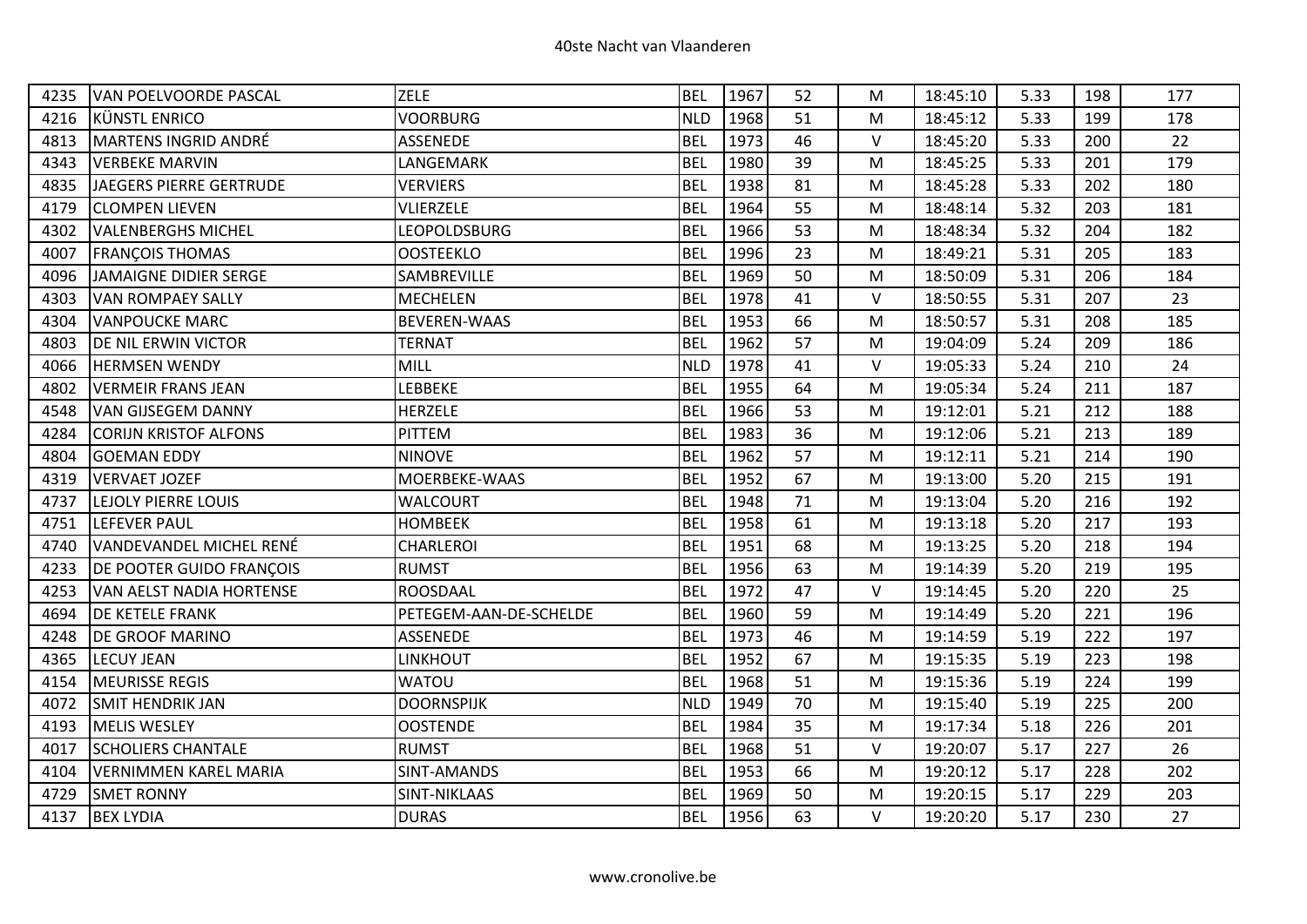| 4235 | VAN POELVOORDE PASCAL           | <b>ZELE</b>            | <b>BEL</b> | 1967 | 52 | М      | 18:45:10 | 5.33 | 198 | 177 |
|------|---------------------------------|------------------------|------------|------|----|--------|----------|------|-----|-----|
| 4216 | KÜNSTL ENRICO                   | VOORBURG               | <b>NLD</b> | 1968 | 51 | M      | 18:45:12 | 5.33 | 199 | 178 |
| 4813 | MARTENS INGRID ANDRÉ            | <b>ASSENEDE</b>        | <b>BEL</b> | 1973 | 46 | $\vee$ | 18:45:20 | 5.33 | 200 | 22  |
| 4343 | <b>VERBEKE MARVIN</b>           | LANGEMARK              | <b>BEL</b> | 1980 | 39 | M      | 18:45:25 | 5.33 | 201 | 179 |
| 4835 | JAEGERS PIERRE GERTRUDE         | <b>VERVIERS</b>        | <b>BEL</b> | 1938 | 81 | М      | 18:45:28 | 5.33 | 202 | 180 |
| 4179 | <b>CLOMPEN LIEVEN</b>           | <b>VLIERZELE</b>       | <b>BEL</b> | 1964 | 55 | M      | 18:48:14 | 5.32 | 203 | 181 |
| 4302 | <b>VALENBERGHS MICHEL</b>       | LEOPOLDSBURG           | <b>BEL</b> | 1966 | 53 | M      | 18:48:34 | 5.32 | 204 | 182 |
| 4007 | <b>FRANÇOIS THOMAS</b>          | <b>OOSTEEKLO</b>       | <b>BEL</b> | 1996 | 23 | M      | 18:49:21 | 5.31 | 205 | 183 |
| 4096 | JAMAIGNE DIDIER SERGE           | SAMBREVILLE            | <b>BEL</b> | 1969 | 50 | M      | 18:50:09 | 5.31 | 206 | 184 |
| 4303 | <b>VAN ROMPAEY SALLY</b>        | <b>MECHELEN</b>        | <b>BEL</b> | 1978 | 41 | V      | 18:50:55 | 5.31 | 207 | 23  |
| 4304 | <b>VANPOUCKE MARC</b>           | <b>BEVEREN-WAAS</b>    | <b>BEL</b> | 1953 | 66 | M      | 18:50:57 | 5.31 | 208 | 185 |
| 4803 | <b>DE NIL ERWIN VICTOR</b>      | <b>TERNAT</b>          | <b>BEL</b> | 1962 | 57 | M      | 19:04:09 | 5.24 | 209 | 186 |
| 4066 | <b>HERMSEN WENDY</b>            | <b>MILL</b>            | <b>NLD</b> | 1978 | 41 | V      | 19:05:33 | 5.24 | 210 | 24  |
| 4802 | <b>VERMEIR FRANS JEAN</b>       | LEBBEKE                | <b>BEL</b> | 1955 | 64 | M      | 19:05:34 | 5.24 | 211 | 187 |
| 4548 | <b>VAN GIJSEGEM DANNY</b>       | <b>HERZELE</b>         | <b>BEL</b> | 1966 | 53 | M      | 19:12:01 | 5.21 | 212 | 188 |
| 4284 | <b>CORIJN KRISTOF ALFONS</b>    | PITTEM                 | <b>BEL</b> | 1983 | 36 | M      | 19:12:06 | 5.21 | 213 | 189 |
| 4804 | <b>GOEMAN EDDY</b>              | <b>NINOVE</b>          | <b>BEL</b> | 1962 | 57 | M      | 19:12:11 | 5.21 | 214 | 190 |
| 4319 | <b>VERVAET JOZEF</b>            | MOERBEKE-WAAS          | <b>BEL</b> | 1952 | 67 | M      | 19:13:00 | 5.20 | 215 | 191 |
| 4737 | <b>LEJOLY PIERRE LOUIS</b>      | <b>WALCOURT</b>        | <b>BEL</b> | 1948 | 71 | M      | 19:13:04 | 5.20 | 216 | 192 |
| 4751 | LEFEVER PAUL                    | <b>HOMBEEK</b>         | <b>BEL</b> | 1958 | 61 | M      | 19:13:18 | 5.20 | 217 | 193 |
| 4740 | VANDEVANDEL MICHEL RENÉ         | CHARLEROI              | <b>BEL</b> | 1951 | 68 | M      | 19:13:25 | 5.20 | 218 | 194 |
| 4233 | <b>DE POOTER GUIDO FRANÇOIS</b> | <b>RUMST</b>           | <b>BEL</b> | 1956 | 63 | M      | 19:14:39 | 5.20 | 219 | 195 |
| 4253 | <b>VAN AELST NADIA HORTENSE</b> | <b>ROOSDAAL</b>        | <b>BEL</b> | 1972 | 47 | $\vee$ | 19:14:45 | 5.20 | 220 | 25  |
| 4694 | <b>DE KETELE FRANK</b>          | PETEGEM-AAN-DE-SCHELDE | <b>BEL</b> | 1960 | 59 | M      | 19:14:49 | 5.20 | 221 | 196 |
| 4248 | <b>DE GROOF MARINO</b>          | <b>ASSENEDE</b>        | <b>BEL</b> | 1973 | 46 | M      | 19:14:59 | 5.19 | 222 | 197 |
| 4365 | <b>LECUY JEAN</b>               | LINKHOUT               | <b>BEL</b> | 1952 | 67 | M      | 19:15:35 | 5.19 | 223 | 198 |
| 4154 | <b>MEURISSE REGIS</b>           | <b>WATOU</b>           | <b>BEL</b> | 1968 | 51 | M      | 19:15:36 | 5.19 | 224 | 199 |
| 4072 | <b>SMIT HENDRIK JAN</b>         | <b>DOORNSPIJK</b>      | <b>NLD</b> | 1949 | 70 | M      | 19:15:40 | 5.19 | 225 | 200 |
| 4193 | <b>MELIS WESLEY</b>             | <b>OOSTENDE</b>        | <b>BEL</b> | 1984 | 35 | M      | 19:17:34 | 5.18 | 226 | 201 |
| 4017 | <b>SCHOLIERS CHANTALE</b>       | <b>RUMST</b>           | <b>BEL</b> | 1968 | 51 | $\vee$ | 19:20:07 | 5.17 | 227 | 26  |
| 4104 | <b>VERNIMMEN KAREL MARIA</b>    | SINT-AMANDS            | <b>BEL</b> | 1953 | 66 | M      | 19:20:12 | 5.17 | 228 | 202 |
| 4729 | <b>SMET RONNY</b>               | SINT-NIKLAAS           | <b>BEL</b> | 1969 | 50 | M      | 19:20:15 | 5.17 | 229 | 203 |
| 4137 | <b>BEX LYDIA</b>                | <b>DURAS</b>           | <b>BEL</b> | 1956 | 63 | V      | 19:20:20 | 5.17 | 230 | 27  |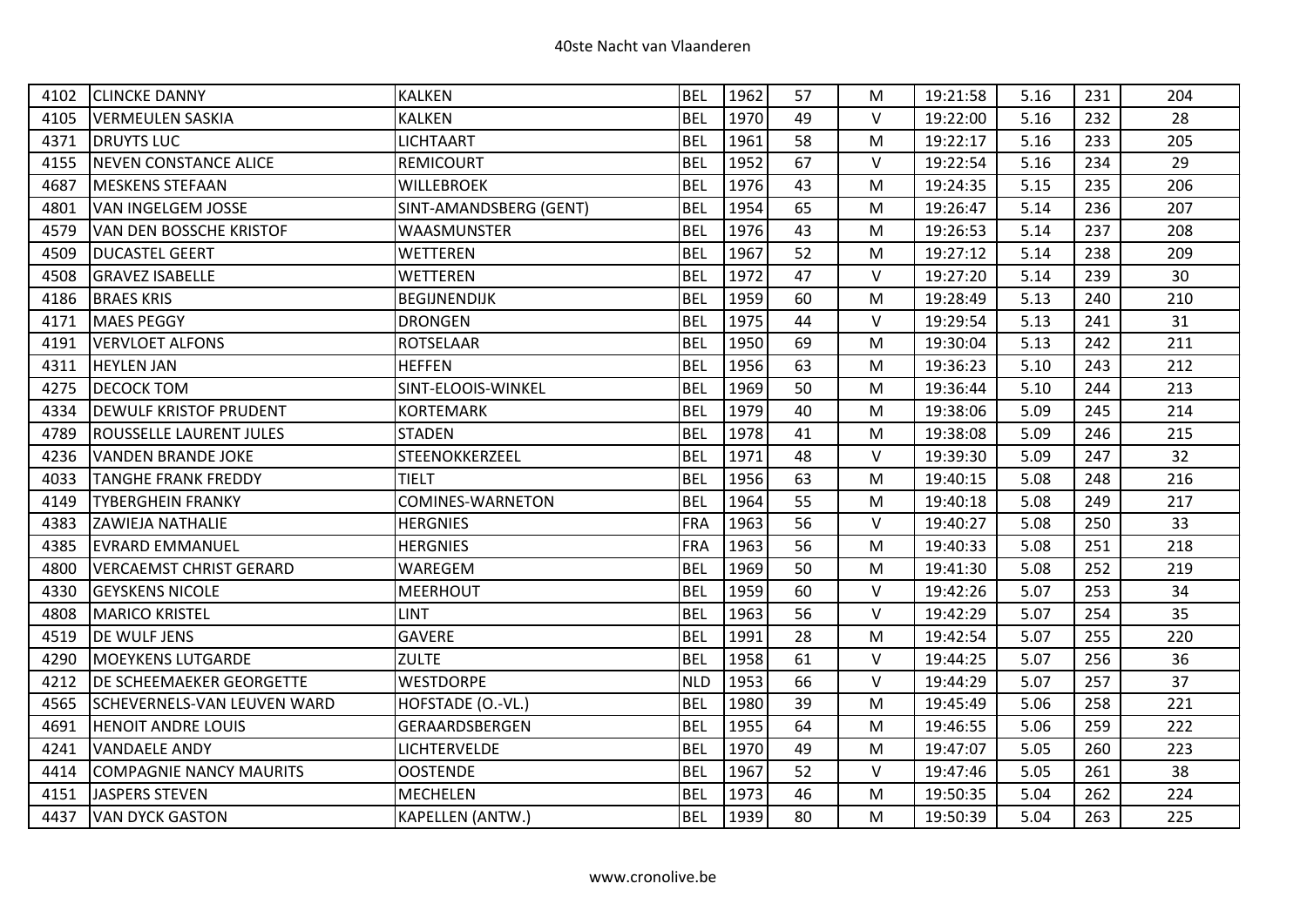| 4102 | <b>CLINCKE DANNY</b>               | <b>KALKEN</b>          | <b>BEL</b> | 1962 | 57 | м      | 19:21:58 | 5.16 | 231 | 204 |
|------|------------------------------------|------------------------|------------|------|----|--------|----------|------|-----|-----|
| 4105 | <b>VERMEULEN SASKIA</b>            | <b>KALKEN</b>          | <b>BEL</b> | 1970 | 49 | $\vee$ | 19:22:00 | 5.16 | 232 | 28  |
| 4371 | <b>DRUYTS LUC</b>                  | <b>LICHTAART</b>       | <b>BEL</b> | 1961 | 58 | M      | 19:22:17 | 5.16 | 233 | 205 |
| 4155 | <b>NEVEN CONSTANCE ALICE</b>       | <b>REMICOURT</b>       | <b>BEL</b> | 1952 | 67 | $\vee$ | 19:22:54 | 5.16 | 234 | 29  |
| 4687 | <b>MESKENS STEFAAN</b>             | <b>WILLEBROEK</b>      | <b>BEL</b> | 1976 | 43 | M      | 19:24:35 | 5.15 | 235 | 206 |
| 4801 | <b>VAN INGELGEM JOSSE</b>          | SINT-AMANDSBERG (GENT) | <b>BEL</b> | 1954 | 65 | M      | 19:26:47 | 5.14 | 236 | 207 |
| 4579 | VAN DEN BOSSCHE KRISTOF            | WAASMUNSTER            | <b>BEL</b> | 1976 | 43 | M      | 19:26:53 | 5.14 | 237 | 208 |
| 4509 | <b>DUCASTEL GEERT</b>              | <b>WETTEREN</b>        | <b>BEL</b> | 1967 | 52 | M      | 19:27:12 | 5.14 | 238 | 209 |
| 4508 | <b>GRAVEZ ISABELLE</b>             | WETTEREN               | <b>BEL</b> | 1972 | 47 | V      | 19:27:20 | 5.14 | 239 | 30  |
| 4186 | <b>BRAES KRIS</b>                  | <b>BEGIJNENDIJK</b>    | <b>BEL</b> | 1959 | 60 | M      | 19:28:49 | 5.13 | 240 | 210 |
| 4171 | <b>MAES PEGGY</b>                  | <b>DRONGEN</b>         | <b>BEL</b> | 1975 | 44 | V      | 19:29:54 | 5.13 | 241 | 31  |
| 4191 | <b>VERVLOET ALFONS</b>             | <b>ROTSELAAR</b>       | <b>BEL</b> | 1950 | 69 | M      | 19:30:04 | 5.13 | 242 | 211 |
| 4311 | <b>HEYLEN JAN</b>                  | <b>HEFFEN</b>          | <b>BEL</b> | 1956 | 63 | M      | 19:36:23 | 5.10 | 243 | 212 |
| 4275 | <b>DECOCK TOM</b>                  | SINT-ELOOIS-WINKEL     | <b>BEL</b> | 1969 | 50 | M      | 19:36:44 | 5.10 | 244 | 213 |
| 4334 | <b>DEWULF KRISTOF PRUDENT</b>      | <b>KORTEMARK</b>       | <b>BEL</b> | 1979 | 40 | M      | 19:38:06 | 5.09 | 245 | 214 |
| 4789 | <b>ROUSSELLE LAURENT JULES</b>     | <b>STADEN</b>          | <b>BEL</b> | 1978 | 41 | M      | 19:38:08 | 5.09 | 246 | 215 |
| 4236 | <b>VANDEN BRANDE JOKE</b>          | STEENOKKERZEEL         | <b>BEL</b> | 1971 | 48 | V      | 19:39:30 | 5.09 | 247 | 32  |
| 4033 | <b>TANGHE FRANK FREDDY</b>         | <b>TIELT</b>           | <b>BEL</b> | 1956 | 63 | M      | 19:40:15 | 5.08 | 248 | 216 |
| 4149 | <b>TYBERGHEIN FRANKY</b>           | COMINES-WARNETON       | <b>BEL</b> | 1964 | 55 | M      | 19:40:18 | 5.08 | 249 | 217 |
| 4383 | <b>ZAWIEJA NATHALIE</b>            | <b>HERGNIES</b>        | <b>FRA</b> | 1963 | 56 | V      | 19:40:27 | 5.08 | 250 | 33  |
| 4385 | <b>EVRARD EMMANUEL</b>             | <b>HERGNIES</b>        | <b>FRA</b> | 1963 | 56 | M      | 19:40:33 | 5.08 | 251 | 218 |
| 4800 | <b>VERCAEMST CHRIST GERARD</b>     | WAREGEM                | <b>BEL</b> | 1969 | 50 | M      | 19:41:30 | 5.08 | 252 | 219 |
| 4330 | <b>GEYSKENS NICOLE</b>             | <b>MEERHOUT</b>        | <b>BEL</b> | 1959 | 60 | $\vee$ | 19:42:26 | 5.07 | 253 | 34  |
| 4808 | <b>MARICO KRISTEL</b>              | <b>LINT</b>            | <b>BEL</b> | 1963 | 56 | V      | 19:42:29 | 5.07 | 254 | 35  |
| 4519 | <b>DE WULF JENS</b>                | GAVERE                 | <b>BEL</b> | 1991 | 28 | M      | 19:42:54 | 5.07 | 255 | 220 |
| 4290 | <b>MOEYKENS LUTGARDE</b>           | <b>ZULTE</b>           | <b>BEL</b> | 1958 | 61 | V      | 19:44:25 | 5.07 | 256 | 36  |
| 4212 | <b>DE SCHEEMAEKER GEORGETTE</b>    | <b>WESTDORPE</b>       | <b>NLD</b> | 1953 | 66 | V      | 19:44:29 | 5.07 | 257 | 37  |
| 4565 | <b>SCHEVERNELS-VAN LEUVEN WARD</b> | HOFSTADE (O.-VL.)      | <b>BEL</b> | 1980 | 39 | M      | 19:45:49 | 5.06 | 258 | 221 |
| 4691 | <b>HENOIT ANDRE LOUIS</b>          | GERAARDSBERGEN         | <b>BEL</b> | 1955 | 64 | M      | 19:46:55 | 5.06 | 259 | 222 |
| 4241 | <b>VANDAELE ANDY</b>               | LICHTERVELDE           | <b>BEL</b> | 1970 | 49 | M      | 19:47:07 | 5.05 | 260 | 223 |
| 4414 | <b>COMPAGNIE NANCY MAURITS</b>     | <b>OOSTENDE</b>        | <b>BEL</b> | 1967 | 52 | $\vee$ | 19:47:46 | 5.05 | 261 | 38  |
| 4151 | <b>JASPERS STEVEN</b>              | <b>MECHELEN</b>        | <b>BEL</b> | 1973 | 46 | M      | 19:50:35 | 5.04 | 262 | 224 |
| 4437 | <b>VAN DYCK GASTON</b>             | KAPELLEN (ANTW.)       | <b>BEL</b> | 1939 | 80 | M      | 19:50:39 | 5.04 | 263 | 225 |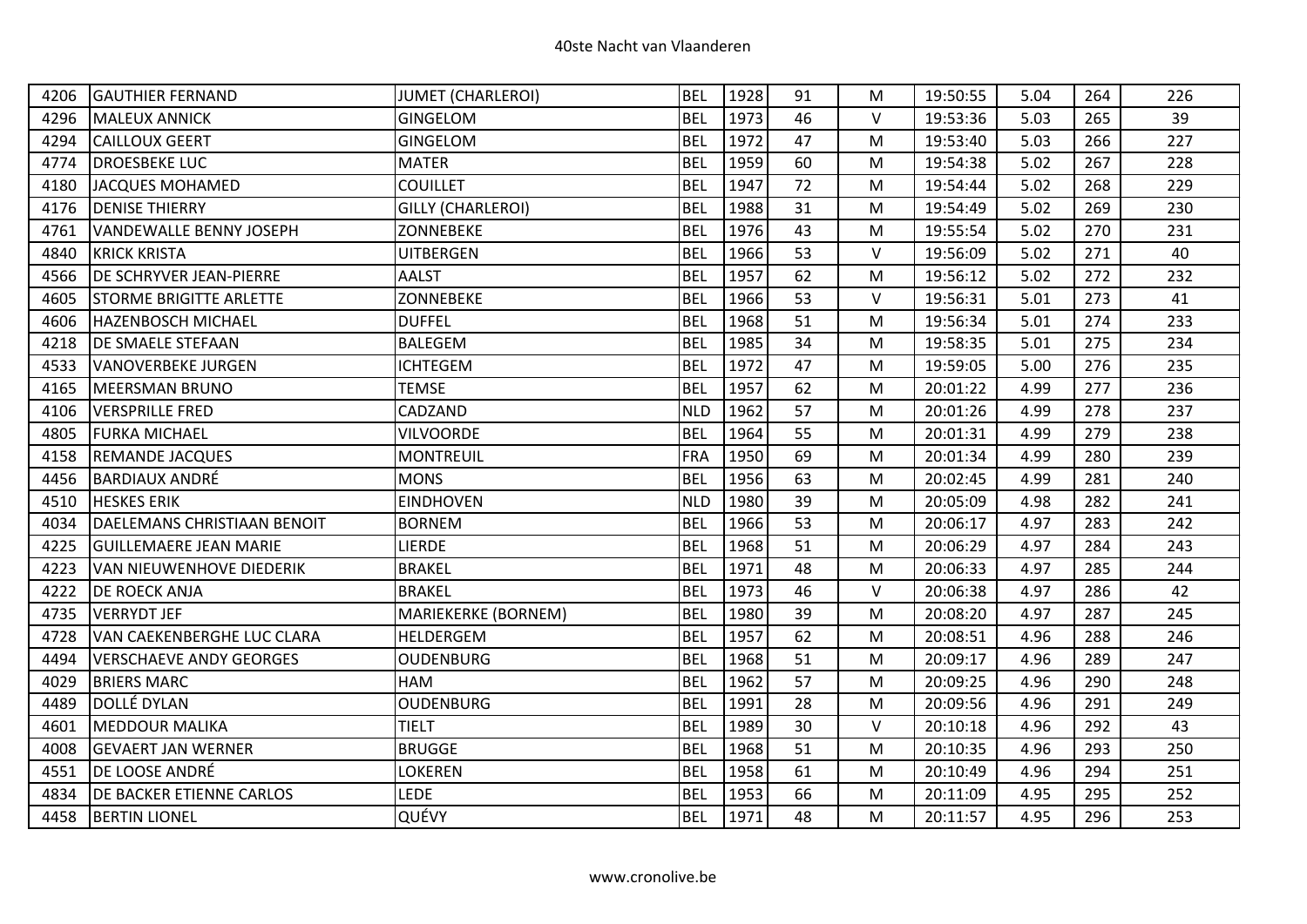| 4206 | <b>GAUTHIER FERNAND</b>         | <b>JUMET (CHARLEROI)</b> | <b>BEL</b> | 1928 | 91 | M      | 19:50:55 | 5.04 | 264 | 226 |
|------|---------------------------------|--------------------------|------------|------|----|--------|----------|------|-----|-----|
| 4296 | <b>MALEUX ANNICK</b>            | <b>GINGELOM</b>          | <b>BEL</b> | 1973 | 46 | V      | 19:53:36 | 5.03 | 265 | 39  |
| 4294 | <b>CAILLOUX GEERT</b>           | <b>GINGELOM</b>          | <b>BEL</b> | 1972 | 47 | M      | 19:53:40 | 5.03 | 266 | 227 |
| 4774 | <b>DROESBEKE LUC</b>            | <b>MATER</b>             | <b>BEL</b> | 1959 | 60 | M      | 19:54:38 | 5.02 | 267 | 228 |
| 4180 | <b>JACQUES MOHAMED</b>          | <b>COUILLET</b>          | <b>BEL</b> | 1947 | 72 | M      | 19:54:44 | 5.02 | 268 | 229 |
| 4176 | <b>DENISE THIERRY</b>           | <b>GILLY (CHARLEROI)</b> | <b>BEL</b> | 1988 | 31 | M      | 19:54:49 | 5.02 | 269 | 230 |
| 4761 | <b>VANDEWALLE BENNY JOSEPH</b>  | ZONNEBEKE                | <b>BEL</b> | 1976 | 43 | M      | 19:55:54 | 5.02 | 270 | 231 |
| 4840 | <b>KRICK KRISTA</b>             | <b>UITBERGEN</b>         | <b>BEL</b> | 1966 | 53 | $\vee$ | 19:56:09 | 5.02 | 271 | 40  |
| 4566 | <b>DE SCHRYVER JEAN-PIERRE</b>  | AALST                    | <b>BEL</b> | 1957 | 62 | M      | 19:56:12 | 5.02 | 272 | 232 |
| 4605 | <b>STORME BRIGITTE ARLETTE</b>  | ZONNEBEKE                | <b>BEL</b> | 1966 | 53 | $\vee$ | 19:56:31 | 5.01 | 273 | 41  |
| 4606 | <b>HAZENBOSCH MICHAEL</b>       | <b>DUFFEL</b>            | <b>BEL</b> | 1968 | 51 | М      | 19:56:34 | 5.01 | 274 | 233 |
| 4218 | <b>DE SMAELE STEFAAN</b>        | <b>BALEGEM</b>           | <b>BEL</b> | 1985 | 34 | M      | 19:58:35 | 5.01 | 275 | 234 |
| 4533 | VANOVERBEKE JURGEN              | <b>ICHTEGEM</b>          | <b>BEL</b> | 1972 | 47 | М      | 19:59:05 | 5.00 | 276 | 235 |
| 4165 | <b>MEERSMAN BRUNO</b>           | <b>TEMSE</b>             | <b>BEL</b> | 1957 | 62 | M      | 20:01:22 | 4.99 | 277 | 236 |
| 4106 | <b>VERSPRILLE FRED</b>          | CADZAND                  | <b>NLD</b> | 1962 | 57 | M      | 20:01:26 | 4.99 | 278 | 237 |
| 4805 | <b>FURKA MICHAEL</b>            | <b>VILVOORDE</b>         | <b>BEL</b> | 1964 | 55 | M      | 20:01:31 | 4.99 | 279 | 238 |
| 4158 | <b>REMANDE JACQUES</b>          | <b>MONTREUIL</b>         | <b>FRA</b> | 1950 | 69 | M      | 20:01:34 | 4.99 | 280 | 239 |
| 4456 | <b>BARDIAUX ANDRÉ</b>           | <b>MONS</b>              | <b>BEL</b> | 1956 | 63 | M      | 20:02:45 | 4.99 | 281 | 240 |
| 4510 | <b>HESKES ERIK</b>              | <b>EINDHOVEN</b>         | <b>NLD</b> | 1980 | 39 | M      | 20:05:09 | 4.98 | 282 | 241 |
| 4034 | DAELEMANS CHRISTIAAN BENOIT     | <b>BORNEM</b>            | <b>BEL</b> | 1966 | 53 | M      | 20:06:17 | 4.97 | 283 | 242 |
| 4225 | <b>GUILLEMAERE JEAN MARIE</b>   | LIERDE                   | <b>BEL</b> | 1968 | 51 | M      | 20:06:29 | 4.97 | 284 | 243 |
| 4223 | <b>VAN NIEUWENHOVE DIEDERIK</b> | <b>BRAKEL</b>            | <b>BEL</b> | 1971 | 48 | M      | 20:06:33 | 4.97 | 285 | 244 |
| 4222 | <b>DE ROECK ANJA</b>            | <b>BRAKEL</b>            | <b>BEL</b> | 1973 | 46 | $\vee$ | 20:06:38 | 4.97 | 286 | 42  |
| 4735 | <b>VERRYDT JEF</b>              | MARIEKERKE (BORNEM)      | <b>BEL</b> | 1980 | 39 | M      | 20:08:20 | 4.97 | 287 | 245 |
| 4728 | VAN CAEKENBERGHE LUC CLARA      | HELDERGEM                | <b>BEL</b> | 1957 | 62 | M      | 20:08:51 | 4.96 | 288 | 246 |
| 4494 | <b>VERSCHAEVE ANDY GEORGES</b>  | <b>OUDENBURG</b>         | <b>BEL</b> | 1968 | 51 | M      | 20:09:17 | 4.96 | 289 | 247 |
| 4029 | <b>BRIERS MARC</b>              | <b>HAM</b>               | <b>BEL</b> | 1962 | 57 | M      | 20:09:25 | 4.96 | 290 | 248 |
| 4489 | <b>DOLLÉ DYLAN</b>              | <b>OUDENBURG</b>         | <b>BEL</b> | 1991 | 28 | M      | 20:09:56 | 4.96 | 291 | 249 |
| 4601 | <b>MEDDOUR MALIKA</b>           | <b>TIELT</b>             | <b>BEL</b> | 1989 | 30 | $\vee$ | 20:10:18 | 4.96 | 292 | 43  |
| 4008 | <b>GEVAERT JAN WERNER</b>       | <b>BRUGGE</b>            | <b>BEL</b> | 1968 | 51 | M      | 20:10:35 | 4.96 | 293 | 250 |
| 4551 | DE LOOSE ANDRÉ                  | LOKEREN                  | <b>BEL</b> | 1958 | 61 | M      | 20:10:49 | 4.96 | 294 | 251 |
| 4834 | <b>DE BACKER ETIENNE CARLOS</b> | LEDE                     | <b>BEL</b> | 1953 | 66 | м      | 20:11:09 | 4.95 | 295 | 252 |
| 4458 | <b>BERTIN LIONEL</b>            | QUÉVY                    | <b>BEL</b> | 1971 | 48 | M      | 20:11:57 | 4.95 | 296 | 253 |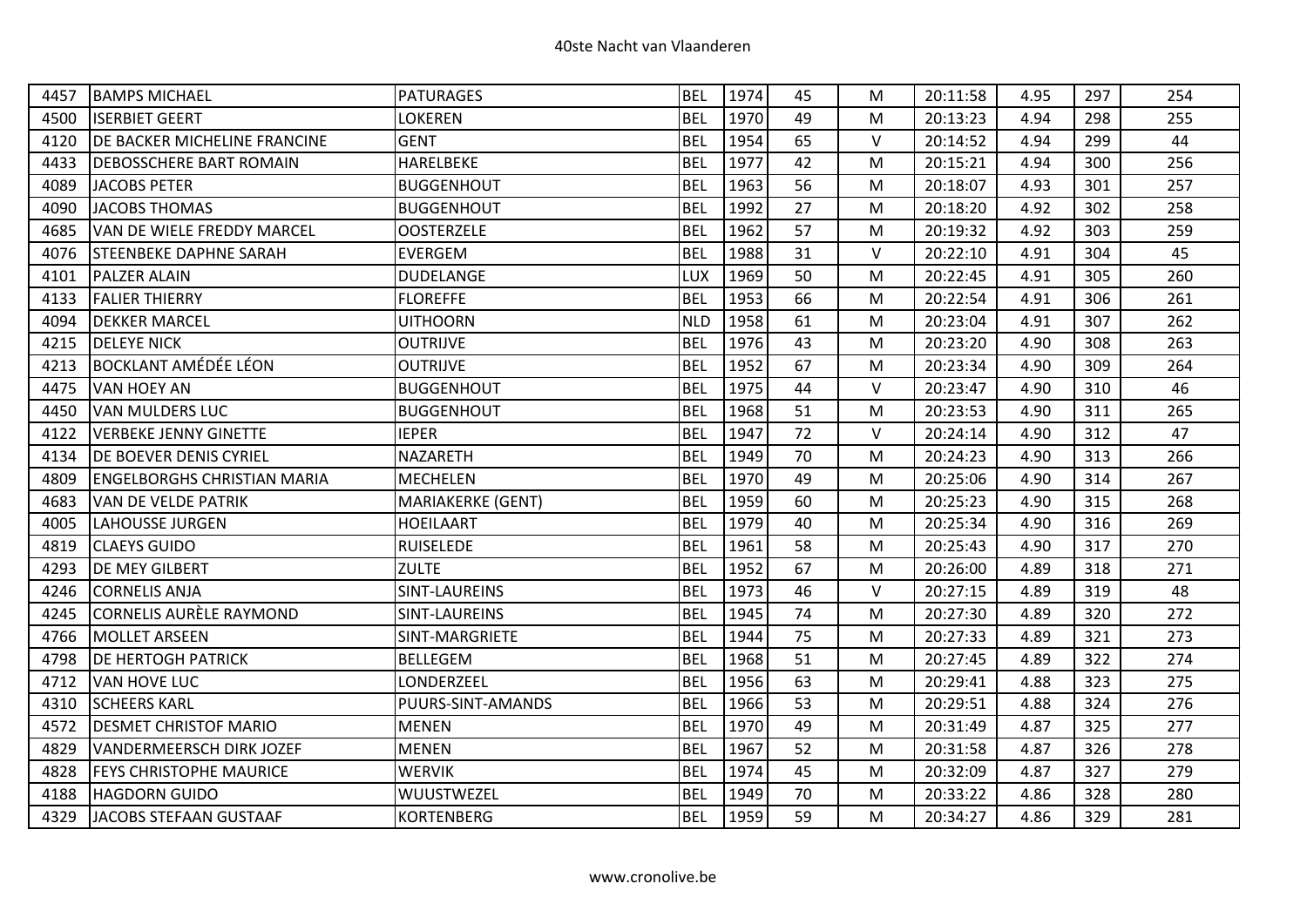| 4457 | <b>BAMPS MICHAEL</b>               | PATURAGES            | <b>BEL</b> | 1974 | 45 | М      | 20:11:58 | 4.95 | 297 | 254 |
|------|------------------------------------|----------------------|------------|------|----|--------|----------|------|-----|-----|
| 4500 | <b>ISERBIET GEERT</b>              | LOKEREN              | <b>BEL</b> | 1970 | 49 | M      | 20:13:23 | 4.94 | 298 | 255 |
| 4120 | DE BACKER MICHELINE FRANCINE       | <b>GENT</b>          | <b>BEL</b> | 1954 | 65 | V      | 20:14:52 | 4.94 | 299 | 44  |
| 4433 | <b>DEBOSSCHERE BART ROMAIN</b>     | HARELBEKE            | <b>BEL</b> | 1977 | 42 | М      | 20:15:21 | 4.94 | 300 | 256 |
| 4089 | <b>JACOBS PETER</b>                | <b>BUGGENHOUT</b>    | <b>BEL</b> | 1963 | 56 | M      | 20:18:07 | 4.93 | 301 | 257 |
| 4090 | <b>JACOBS THOMAS</b>               | <b>BUGGENHOUT</b>    | <b>BEL</b> | 1992 | 27 | M      | 20:18:20 | 4.92 | 302 | 258 |
| 4685 | VAN DE WIELE FREDDY MARCEL         | <b>OOSTERZELE</b>    | <b>BEL</b> | 1962 | 57 | М      | 20:19:32 | 4.92 | 303 | 259 |
| 4076 | <b>STEENBEKE DAPHNE SARAH</b>      | <b>EVERGEM</b>       | <b>BEL</b> | 1988 | 31 | $\vee$ | 20:22:10 | 4.91 | 304 | 45  |
| 4101 | <b>PALZER ALAIN</b>                | <b>DUDELANGE</b>     | <b>LUX</b> | 1969 | 50 | M      | 20:22:45 | 4.91 | 305 | 260 |
| 4133 | <b>FALIER THIERRY</b>              | <b>FLOREFFE</b>      | <b>BEL</b> | 1953 | 66 | M      | 20:22:54 | 4.91 | 306 | 261 |
| 4094 | <b>DEKKER MARCEL</b>               | <b>UITHOORN</b>      | <b>NLD</b> | 1958 | 61 | M      | 20:23:04 | 4.91 | 307 | 262 |
| 4215 | <b>DELEYE NICK</b>                 | <b>OUTRIJVE</b>      | <b>BEL</b> | 1976 | 43 | M      | 20:23:20 | 4.90 | 308 | 263 |
| 4213 | <b>BOCKLANT AMÉDÉE LÉON</b>        | <b>OUTRIJVE</b>      | <b>BEL</b> | 1952 | 67 | M      | 20:23:34 | 4.90 | 309 | 264 |
| 4475 | <b>VAN HOEY AN</b>                 | <b>BUGGENHOUT</b>    | <b>BEL</b> | 1975 | 44 | $\vee$ | 20:23:47 | 4.90 | 310 | 46  |
| 4450 | <b>VAN MULDERS LUC</b>             | <b>BUGGENHOUT</b>    | <b>BEL</b> | 1968 | 51 | M      | 20:23:53 | 4.90 | 311 | 265 |
| 4122 | <b>VERBEKE JENNY GINETTE</b>       | <b>IEPER</b>         | <b>BEL</b> | 1947 | 72 | $\vee$ | 20:24:14 | 4.90 | 312 | 47  |
| 4134 | <b>DE BOEVER DENIS CYRIEL</b>      | <b>NAZARETH</b>      | <b>BEL</b> | 1949 | 70 | M      | 20:24:23 | 4.90 | 313 | 266 |
| 4809 | <b>ENGELBORGHS CHRISTIAN MARIA</b> | <b>MECHELEN</b>      | <b>BEL</b> | 1970 | 49 | M      | 20:25:06 | 4.90 | 314 | 267 |
| 4683 | <b>VAN DE VELDE PATRIK</b>         | MARIAKERKE (GENT)    | <b>BEL</b> | 1959 | 60 | М      | 20:25:23 | 4.90 | 315 | 268 |
| 4005 | LAHOUSSE JURGEN                    | <b>HOEILAART</b>     | <b>BEL</b> | 1979 | 40 | M      | 20:25:34 | 4.90 | 316 | 269 |
| 4819 | <b>CLAEYS GUIDO</b>                | <b>RUISELEDE</b>     | <b>BEL</b> | 1961 | 58 | M      | 20:25:43 | 4.90 | 317 | 270 |
| 4293 | <b>DE MEY GILBERT</b>              | <b>ZULTE</b>         | <b>BEL</b> | 1952 | 67 | M      | 20:26:00 | 4.89 | 318 | 271 |
| 4246 | <b>CORNELIS ANJA</b>               | SINT-LAUREINS        | <b>BEL</b> | 1973 | 46 | $\vee$ | 20:27:15 | 4.89 | 319 | 48  |
| 4245 | CORNELIS AURÈLE RAYMOND            | <b>SINT-LAUREINS</b> | <b>BEL</b> | 1945 | 74 | M      | 20:27:30 | 4.89 | 320 | 272 |
| 4766 | <b>MOLLET ARSEEN</b>               | SINT-MARGRIETE       | <b>BEL</b> | 1944 | 75 | M      | 20:27:33 | 4.89 | 321 | 273 |
| 4798 | <b>DE HERTOGH PATRICK</b>          | <b>BELLEGEM</b>      | <b>BEL</b> | 1968 | 51 | M      | 20:27:45 | 4.89 | 322 | 274 |
| 4712 | <b>VAN HOVE LUC</b>                | LONDERZEEL           | <b>BEL</b> | 1956 | 63 | M      | 20:29:41 | 4.88 | 323 | 275 |
| 4310 | <b>SCHEERS KARL</b>                | PUURS-SINT-AMANDS    | <b>BEL</b> | 1966 | 53 | М      | 20:29:51 | 4.88 | 324 | 276 |
| 4572 | <b>DESMET CHRISTOF MARIO</b>       | <b>MENEN</b>         | <b>BEL</b> | 1970 | 49 | M      | 20:31:49 | 4.87 | 325 | 277 |
| 4829 | <b>VANDERMEERSCH DIRK JOZEF</b>    | <b>MENEN</b>         | <b>BEL</b> | 1967 | 52 | M      | 20:31:58 | 4.87 | 326 | 278 |
| 4828 | <b>FEYS CHRISTOPHE MAURICE</b>     | <b>WERVIK</b>        | <b>BEL</b> | 1974 | 45 | М      | 20:32:09 | 4.87 | 327 | 279 |
| 4188 | <b>HAGDORN GUIDO</b>               | WUUSTWEZEL           | <b>BEL</b> | 1949 | 70 | M      | 20:33:22 | 4.86 | 328 | 280 |
| 4329 | JACOBS STEFAAN GUSTAAF             | <b>KORTENBERG</b>    | <b>BEL</b> | 1959 | 59 | M      | 20:34:27 | 4.86 | 329 | 281 |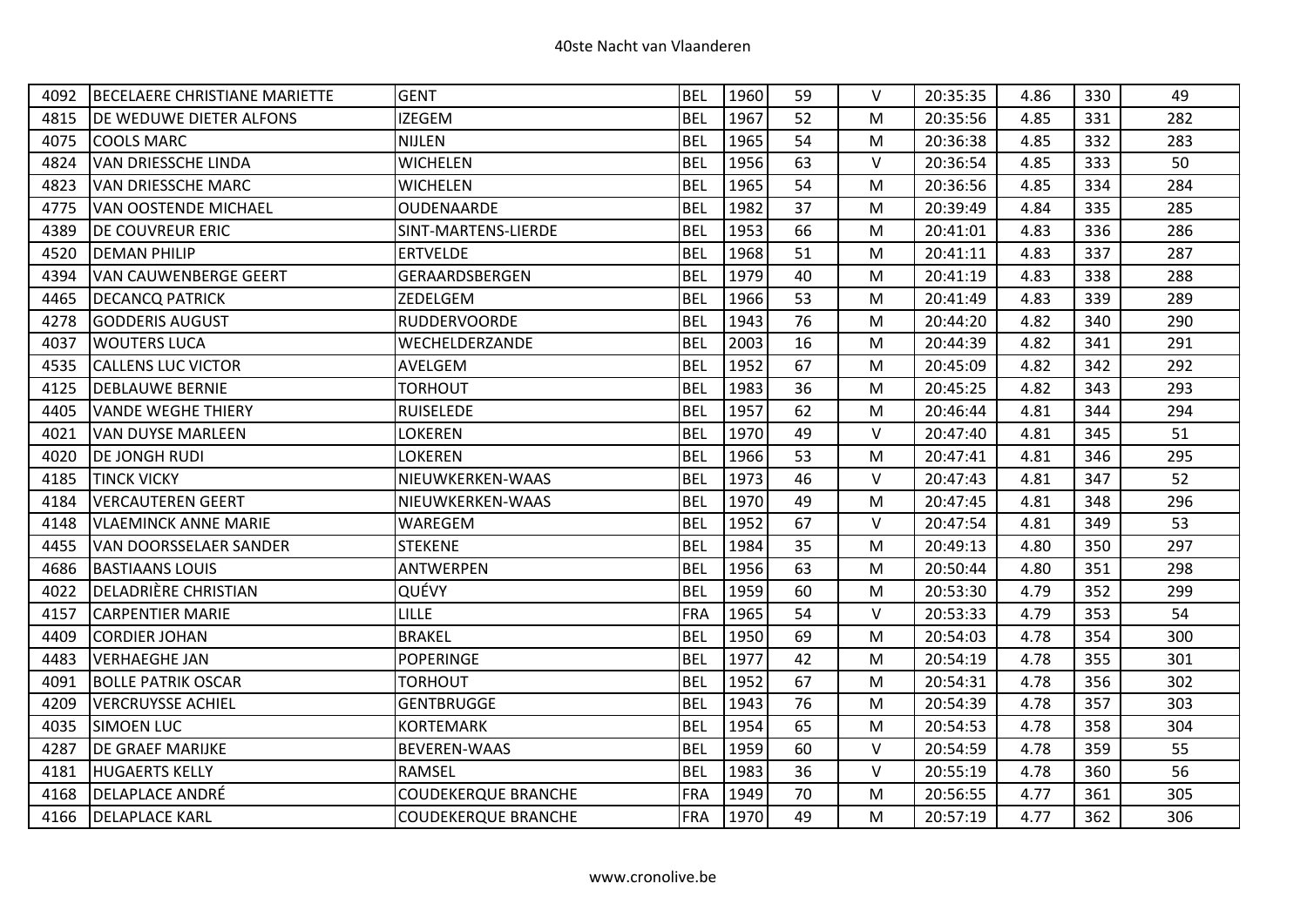| 4092 | BECELAERE CHRISTIANE MARIETTE | <b>GENT</b>                | <b>BEL</b> | 1960 | 59 | $\vee$ | 20:35:35 | 4.86 | 330 | 49  |
|------|-------------------------------|----------------------------|------------|------|----|--------|----------|------|-----|-----|
| 4815 | DE WEDUWE DIETER ALFONS       | <b>IZEGEM</b>              | <b>BEL</b> | 1967 | 52 | M      | 20:35:56 | 4.85 | 331 | 282 |
| 4075 | <b>COOLS MARC</b>             | <b>NIJLEN</b>              | <b>BEL</b> | 1965 | 54 | M      | 20:36:38 | 4.85 | 332 | 283 |
| 4824 | VAN DRIESSCHE LINDA           | <b>WICHELEN</b>            | <b>BEL</b> | 1956 | 63 | $\vee$ | 20:36:54 | 4.85 | 333 | 50  |
| 4823 | <b>VAN DRIESSCHE MARC</b>     | <b>WICHELEN</b>            | <b>BEL</b> | 1965 | 54 | M      | 20:36:56 | 4.85 | 334 | 284 |
| 4775 | VAN OOSTENDE MICHAEL          | OUDENAARDE                 | <b>BEL</b> | 1982 | 37 | M      | 20:39:49 | 4.84 | 335 | 285 |
| 4389 | <b>DE COUVREUR ERIC</b>       | SINT-MARTENS-LIERDE        | <b>BEL</b> | 1953 | 66 | M      | 20:41:01 | 4.83 | 336 | 286 |
| 4520 | <b>DEMAN PHILIP</b>           | <b>ERTVELDE</b>            | <b>BEL</b> | 1968 | 51 | M      | 20:41:11 | 4.83 | 337 | 287 |
| 4394 | <b>VAN CAUWENBERGE GEERT</b>  | GERAARDSBERGEN             | <b>BEL</b> | 1979 | 40 | M      | 20:41:19 | 4.83 | 338 | 288 |
| 4465 | <b>DECANCQ PATRICK</b>        | ZEDELGEM                   | <b>BEL</b> | 1966 | 53 | M      | 20:41:49 | 4.83 | 339 | 289 |
| 4278 | <b>GODDERIS AUGUST</b>        | RUDDERVOORDE               | <b>BEL</b> | 1943 | 76 | M      | 20:44:20 | 4.82 | 340 | 290 |
| 4037 | <b>WOUTERS LUCA</b>           | WECHELDERZANDE             | <b>BEL</b> | 2003 | 16 | M      | 20:44:39 | 4.82 | 341 | 291 |
| 4535 | <b>CALLENS LUC VICTOR</b>     | AVELGEM                    | <b>BEL</b> | 1952 | 67 | M      | 20:45:09 | 4.82 | 342 | 292 |
| 4125 | <b>DEBLAUWE BERNIE</b>        | <b>TORHOUT</b>             | <b>BEL</b> | 1983 | 36 | M      | 20:45:25 | 4.82 | 343 | 293 |
| 4405 | <b>VANDE WEGHE THIERY</b>     | <b>RUISELEDE</b>           | <b>BEL</b> | 1957 | 62 | M      | 20:46:44 | 4.81 | 344 | 294 |
| 4021 | VAN DUYSE MARLEEN             | LOKEREN                    | <b>BEL</b> | 1970 | 49 | V      | 20:47:40 | 4.81 | 345 | 51  |
| 4020 | <b>DE JONGH RUDI</b>          | LOKEREN                    | <b>BEL</b> | 1966 | 53 | M      | 20:47:41 | 4.81 | 346 | 295 |
| 4185 | <b>TINCK VICKY</b>            | NIEUWKERKEN-WAAS           | <b>BEL</b> | 1973 | 46 | V      | 20:47:43 | 4.81 | 347 | 52  |
| 4184 | <b>VERCAUTEREN GEERT</b>      | NIEUWKERKEN-WAAS           | <b>BEL</b> | 1970 | 49 | M      | 20:47:45 | 4.81 | 348 | 296 |
| 4148 | <b>VLAEMINCK ANNE MARIE</b>   | WAREGEM                    | <b>BEL</b> | 1952 | 67 | V      | 20:47:54 | 4.81 | 349 | 53  |
| 4455 | VAN DOORSSELAER SANDER        | <b>STEKENE</b>             | <b>BEL</b> | 1984 | 35 | M      | 20:49:13 | 4.80 | 350 | 297 |
| 4686 | <b>BASTIAANS LOUIS</b>        | <b>ANTWERPEN</b>           | <b>BEL</b> | 1956 | 63 | M      | 20:50:44 | 4.80 | 351 | 298 |
| 4022 | DELADRIÈRE CHRISTIAN          | QUÉVY                      | <b>BEL</b> | 1959 | 60 | M      | 20:53:30 | 4.79 | 352 | 299 |
| 4157 | <b>CARPENTIER MARIE</b>       | <b>LILLE</b>               | FRA        | 1965 | 54 | V      | 20:53:33 | 4.79 | 353 | 54  |
| 4409 | <b>CORDIER JOHAN</b>          | <b>BRAKEL</b>              | <b>BEL</b> | 1950 | 69 | M      | 20:54:03 | 4.78 | 354 | 300 |
| 4483 | <b>VERHAEGHE JAN</b>          | <b>POPERINGE</b>           | <b>BEL</b> | 1977 | 42 | M      | 20:54:19 | 4.78 | 355 | 301 |
| 4091 | <b>BOLLE PATRIK OSCAR</b>     | <b>TORHOUT</b>             | <b>BEL</b> | 1952 | 67 | M      | 20:54:31 | 4.78 | 356 | 302 |
| 4209 | <b>VERCRUYSSE ACHIEL</b>      | <b>GENTBRUGGE</b>          | <b>BEL</b> | 1943 | 76 | M      | 20:54:39 | 4.78 | 357 | 303 |
| 4035 | <b>SIMOEN LUC</b>             | <b>KORTEMARK</b>           | <b>BEL</b> | 1954 | 65 | M      | 20:54:53 | 4.78 | 358 | 304 |
| 4287 | <b>DE GRAEF MARIJKE</b>       | <b>BEVEREN-WAAS</b>        | <b>BEL</b> | 1959 | 60 | V      | 20:54:59 | 4.78 | 359 | 55  |
| 4181 | <b>HUGAERTS KELLY</b>         | <b>RAMSEL</b>              | <b>BEL</b> | 1983 | 36 | $\vee$ | 20:55:19 | 4.78 | 360 | 56  |
| 4168 | DELAPLACE ANDRÉ               | <b>COUDEKERQUE BRANCHE</b> | FRA        | 1949 | 70 | M      | 20:56:55 | 4.77 | 361 | 305 |
| 4166 | <b>DELAPLACE KARL</b>         | <b>COUDEKERQUE BRANCHE</b> | <b>FRA</b> | 1970 | 49 | M      | 20:57:19 | 4.77 | 362 | 306 |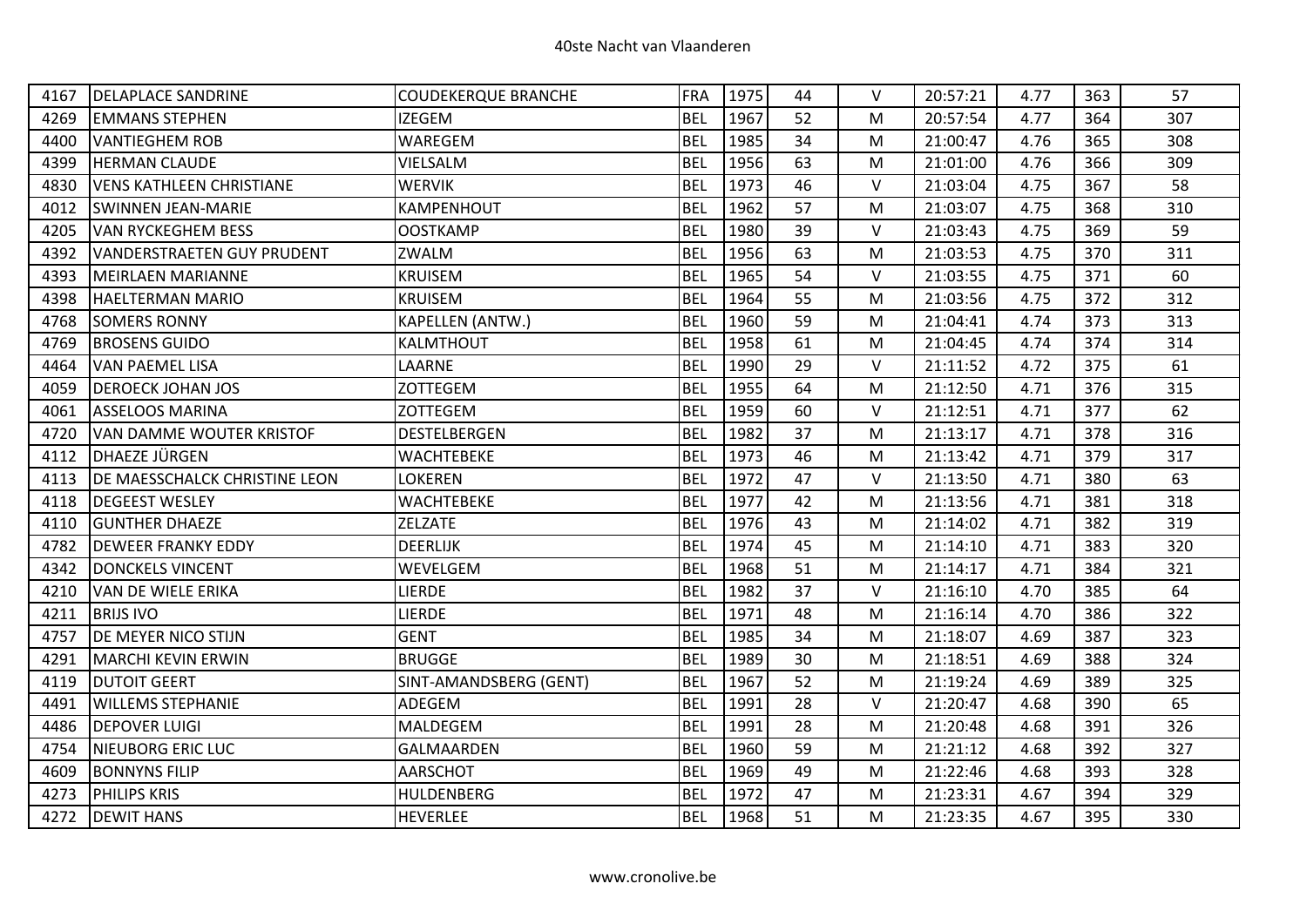| 4167 | <b>DELAPLACE SANDRINE</b>            | <b>COUDEKERQUE BRANCHE</b> | <b>FRA</b> | 1975 | 44 | $\vee$ | 20:57:21 | 4.77 | 363 | 57  |
|------|--------------------------------------|----------------------------|------------|------|----|--------|----------|------|-----|-----|
| 4269 | <b>EMMANS STEPHEN</b>                | <b>IZEGEM</b>              | <b>BEL</b> | 1967 | 52 | M      | 20:57:54 | 4.77 | 364 | 307 |
| 4400 | <b>VANTIEGHEM ROB</b>                | WAREGEM                    | <b>BEL</b> | 1985 | 34 | M      | 21:00:47 | 4.76 | 365 | 308 |
| 4399 | <b>HERMAN CLAUDE</b>                 | VIELSALM                   | <b>BEL</b> | 1956 | 63 | M      | 21:01:00 | 4.76 | 366 | 309 |
| 4830 | <b>VENS KATHLEEN CHRISTIANE</b>      | <b>WERVIK</b>              | <b>BEL</b> | 1973 | 46 | $\vee$ | 21:03:04 | 4.75 | 367 | 58  |
| 4012 | <b>SWINNEN JEAN-MARIE</b>            | KAMPENHOUT                 | <b>BEL</b> | 1962 | 57 | M      | 21:03:07 | 4.75 | 368 | 310 |
| 4205 | <b>VAN RYCKEGHEM BESS</b>            | <b>OOSTKAMP</b>            | <b>BEL</b> | 1980 | 39 | $\vee$ | 21:03:43 | 4.75 | 369 | 59  |
| 4392 | <b>VANDERSTRAETEN GUY PRUDENT</b>    | ZWALM                      | <b>BEL</b> | 1956 | 63 | M      | 21:03:53 | 4.75 | 370 | 311 |
| 4393 | <b>MEIRLAEN MARIANNE</b>             | <b>KRUISEM</b>             | <b>BEL</b> | 1965 | 54 | $\vee$ | 21:03:55 | 4.75 | 371 | 60  |
| 4398 | <b>HAELTERMAN MARIO</b>              | <b>KRUISEM</b>             | <b>BEL</b> | 1964 | 55 | M      | 21:03:56 | 4.75 | 372 | 312 |
| 4768 | <b>SOMERS RONNY</b>                  | KAPELLEN (ANTW.)           | <b>BEL</b> | 1960 | 59 | M      | 21:04:41 | 4.74 | 373 | 313 |
| 4769 | <b>BROSENS GUIDO</b>                 | KALMTHOUT                  | <b>BEL</b> | 1958 | 61 | M      | 21:04:45 | 4.74 | 374 | 314 |
| 4464 | <b>VAN PAEMEL LISA</b>               | LAARNE                     | <b>BEL</b> | 1990 | 29 | $\vee$ | 21:11:52 | 4.72 | 375 | 61  |
| 4059 | <b>DEROECK JOHAN JOS</b>             | ZOTTEGEM                   | <b>BEL</b> | 1955 | 64 | M      | 21:12:50 | 4.71 | 376 | 315 |
| 4061 | <b>ASSELOOS MARINA</b>               | <b>ZOTTEGEM</b>            | <b>BEL</b> | 1959 | 60 | $\vee$ | 21:12:51 | 4.71 | 377 | 62  |
| 4720 | <b>VAN DAMME WOUTER KRISTOF</b>      | DESTELBERGEN               | <b>BEL</b> | 1982 | 37 | M      | 21:13:17 | 4.71 | 378 | 316 |
| 4112 | DHAEZE JÜRGEN                        | <b>WACHTEBEKE</b>          | <b>BEL</b> | 1973 | 46 | M      | 21:13:42 | 4.71 | 379 | 317 |
| 4113 | <b>DE MAESSCHALCK CHRISTINE LEON</b> | LOKEREN                    | <b>BEL</b> | 1972 | 47 | $\vee$ | 21:13:50 | 4.71 | 380 | 63  |
| 4118 | <b>DEGEEST WESLEY</b>                | WACHTEBEKE                 | <b>BEL</b> | 1977 | 42 | M      | 21:13:56 | 4.71 | 381 | 318 |
| 4110 | <b>GUNTHER DHAEZE</b>                | <b>ZELZATE</b>             | <b>BEL</b> | 1976 | 43 | M      | 21:14:02 | 4.71 | 382 | 319 |
| 4782 | <b>DEWEER FRANKY EDDY</b>            | <b>DEERLIJK</b>            | <b>BEL</b> | 1974 | 45 | M      | 21:14:10 | 4.71 | 383 | 320 |
| 4342 | DONCKELS VINCENT                     | WEVELGEM                   | <b>BEL</b> | 1968 | 51 | M      | 21:14:17 | 4.71 | 384 | 321 |
| 4210 | VAN DE WIELE ERIKA                   | LIERDE                     | <b>BEL</b> | 1982 | 37 | $\vee$ | 21:16:10 | 4.70 | 385 | 64  |
| 4211 | <b>BRIJS IVO</b>                     | LIERDE                     | <b>BEL</b> | 1971 | 48 | M      | 21:16:14 | 4.70 | 386 | 322 |
| 4757 | DE MEYER NICO STIJN                  | <b>GENT</b>                | <b>BEL</b> | 1985 | 34 | M      | 21:18:07 | 4.69 | 387 | 323 |
| 4291 | MARCHI KEVIN ERWIN                   | <b>BRUGGE</b>              | <b>BEL</b> | 1989 | 30 | M      | 21:18:51 | 4.69 | 388 | 324 |
| 4119 | <b>DUTOIT GEERT</b>                  | SINT-AMANDSBERG (GENT)     | <b>BEL</b> | 1967 | 52 | M      | 21:19:24 | 4.69 | 389 | 325 |
| 4491 | <b>WILLEMS STEPHANIE</b>             | ADEGEM                     | <b>BEL</b> | 1991 | 28 | $\vee$ | 21:20:47 | 4.68 | 390 | 65  |
| 4486 | <b>DEPOVER LUIGI</b>                 | <b>MALDEGEM</b>            | <b>BEL</b> | 1991 | 28 | M      | 21:20:48 | 4.68 | 391 | 326 |
| 4754 | NIEUBORG ERIC LUC                    | <b>GALMAARDEN</b>          | <b>BEL</b> | 1960 | 59 | M      | 21:21:12 | 4.68 | 392 | 327 |
| 4609 | <b>BONNYNS FILIP</b>                 | AARSCHOT                   | <b>BEL</b> | 1969 | 49 | M      | 21:22:46 | 4.68 | 393 | 328 |
| 4273 | <b>PHILIPS KRIS</b>                  | <b>HULDENBERG</b>          | <b>BEL</b> | 1972 | 47 | M      | 21:23:31 | 4.67 | 394 | 329 |
| 4272 | <b>DEWIT HANS</b>                    | <b>HEVERLEE</b>            | <b>BEL</b> | 1968 | 51 | M      | 21:23:35 | 4.67 | 395 | 330 |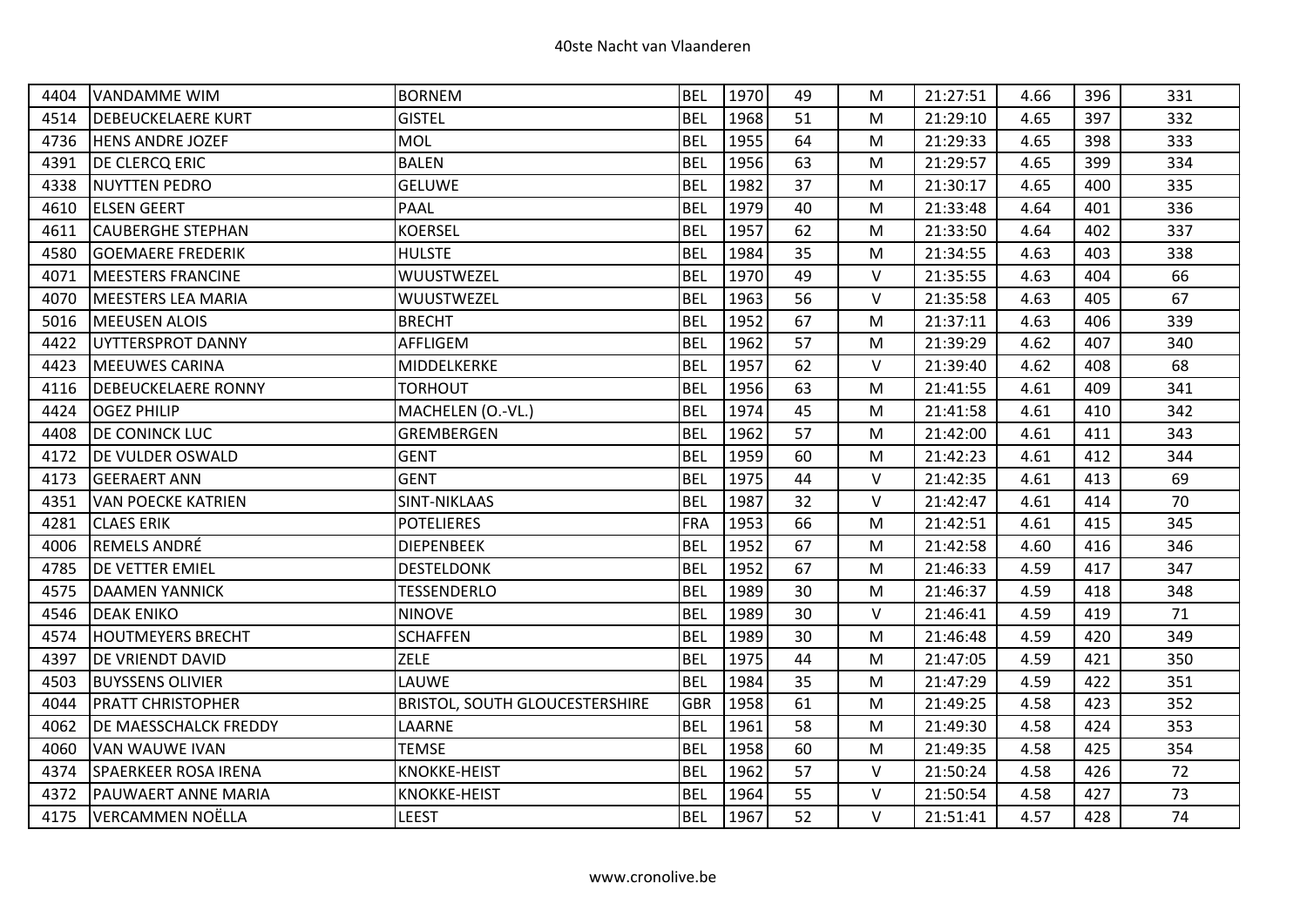| 4404 | <b>VANDAMME WIM</b>         | <b>BORNEM</b>                         | <b>BEL</b> | 1970 | 49 | М      | 21:27:51 | 4.66 | 396 | 331 |
|------|-----------------------------|---------------------------------------|------------|------|----|--------|----------|------|-----|-----|
| 4514 | <b>DEBEUCKELAERE KURT</b>   | <b>GISTEL</b>                         | <b>BEL</b> | 1968 | 51 | M      | 21:29:10 | 4.65 | 397 | 332 |
| 4736 | <b>HENS ANDRE JOZEF</b>     | <b>MOL</b>                            | <b>BEL</b> | 1955 | 64 | M      | 21:29:33 | 4.65 | 398 | 333 |
| 4391 | <b>DE CLERCQ ERIC</b>       | <b>BALEN</b>                          | <b>BEL</b> | 1956 | 63 | M      | 21:29:57 | 4.65 | 399 | 334 |
| 4338 | <b>NUYTTEN PEDRO</b>        | <b>GELUWE</b>                         | <b>BEL</b> | 1982 | 37 | M      | 21:30:17 | 4.65 | 400 | 335 |
| 4610 | <b>ELSEN GEERT</b>          | <b>PAAL</b>                           | <b>BEL</b> | 1979 | 40 | M      | 21:33:48 | 4.64 | 401 | 336 |
| 4611 | <b>CAUBERGHE STEPHAN</b>    | <b>KOERSEL</b>                        | <b>BEL</b> | 1957 | 62 | M      | 21:33:50 | 4.64 | 402 | 337 |
| 4580 | <b>GOEMAERE FREDERIK</b>    | <b>HULSTE</b>                         | <b>BEL</b> | 1984 | 35 | M      | 21:34:55 | 4.63 | 403 | 338 |
| 4071 | <b>IMEESTERS FRANCINE</b>   | WUUSTWEZEL                            | <b>BEL</b> | 1970 | 49 | $\vee$ | 21:35:55 | 4.63 | 404 | 66  |
| 4070 | <b>MEESTERS LEA MARIA</b>   | WUUSTWEZEL                            | <b>BEL</b> | 1963 | 56 | $\vee$ | 21:35:58 | 4.63 | 405 | 67  |
| 5016 | <b>MEEUSEN ALOIS</b>        | <b>BRECHT</b>                         | <b>BEL</b> | 1952 | 67 | M      | 21:37:11 | 4.63 | 406 | 339 |
| 4422 | UYTTERSPROT DANNY           | AFFLIGEM                              | <b>BEL</b> | 1962 | 57 | M      | 21:39:29 | 4.62 | 407 | 340 |
| 4423 | <b>MEEUWES CARINA</b>       | MIDDELKERKE                           | <b>BEL</b> | 1957 | 62 | $\vee$ | 21:39:40 | 4.62 | 408 | 68  |
| 4116 | <b>DEBEUCKELAERE RONNY</b>  | <b>TORHOUT</b>                        | <b>BEL</b> | 1956 | 63 | M      | 21:41:55 | 4.61 | 409 | 341 |
| 4424 | <b>OGEZ PHILIP</b>          | MACHELEN (O.-VL.)                     | <b>BEL</b> | 1974 | 45 | M      | 21:41:58 | 4.61 | 410 | 342 |
| 4408 | <b>DE CONINCK LUC</b>       | GREMBERGEN                            | <b>BEL</b> | 1962 | 57 | M      | 21:42:00 | 4.61 | 411 | 343 |
| 4172 | <b>DE VULDER OSWALD</b>     | <b>GENT</b>                           | <b>BEL</b> | 1959 | 60 | M      | 21:42:23 | 4.61 | 412 | 344 |
| 4173 | <b>GEERAERT ANN</b>         | <b>GENT</b>                           | <b>BEL</b> | 1975 | 44 | $\vee$ | 21:42:35 | 4.61 | 413 | 69  |
| 4351 | <b>VAN POECKE KATRIEN</b>   | <b>SINT-NIKLAAS</b>                   | <b>BEL</b> | 1987 | 32 | $\vee$ | 21:42:47 | 4.61 | 414 | 70  |
| 4281 | <b>CLAES ERIK</b>           | <b>POTELIERES</b>                     | <b>FRA</b> | 1953 | 66 | M      | 21:42:51 | 4.61 | 415 | 345 |
| 4006 | <b>REMELS ANDRÉ</b>         | <b>DIEPENBEEK</b>                     | <b>BEL</b> | 1952 | 67 | M      | 21:42:58 | 4.60 | 416 | 346 |
| 4785 | <b>DE VETTER EMIEL</b>      | <b>DESTELDONK</b>                     | <b>BEL</b> | 1952 | 67 | M      | 21:46:33 | 4.59 | 417 | 347 |
| 4575 | <b>DAAMEN YANNICK</b>       | <b>TESSENDERLO</b>                    | <b>BEL</b> | 1989 | 30 | M      | 21:46:37 | 4.59 | 418 | 348 |
| 4546 | <b>DEAK ENIKO</b>           | <b>NINOVE</b>                         | <b>BEL</b> | 1989 | 30 | $\vee$ | 21:46:41 | 4.59 | 419 | 71  |
| 4574 | <b>HOUTMEYERS BRECHT</b>    | <b>SCHAFFEN</b>                       | <b>BEL</b> | 1989 | 30 | M      | 21:46:48 | 4.59 | 420 | 349 |
| 4397 | DE VRIENDT DAVID            | <b>ZELE</b>                           | <b>BEL</b> | 1975 | 44 | M      | 21:47:05 | 4.59 | 421 | 350 |
| 4503 | <b>BUYSSENS OLIVIER</b>     | LAUWE                                 | <b>BEL</b> | 1984 | 35 | M      | 21:47:29 | 4.59 | 422 | 351 |
| 4044 | <b>PRATT CHRISTOPHER</b>    | <b>BRISTOL, SOUTH GLOUCESTERSHIRE</b> | <b>GBR</b> | 1958 | 61 | М      | 21:49:25 | 4.58 | 423 | 352 |
| 4062 | DE MAESSCHALCK FREDDY       | LAARNE                                | <b>BEL</b> | 1961 | 58 | M      | 21:49:30 | 4.58 | 424 | 353 |
| 4060 | <b>VAN WAUWE IVAN</b>       | <b>TEMSE</b>                          | <b>BEL</b> | 1958 | 60 | M      | 21:49:35 | 4.58 | 425 | 354 |
| 4374 | <b>SPAERKEER ROSA IRENA</b> | <b>KNOKKE-HEIST</b>                   | <b>BEL</b> | 1962 | 57 | $\vee$ | 21:50:24 | 4.58 | 426 | 72  |
| 4372 | PAUWAERT ANNE MARIA         | <b>KNOKKE-HEIST</b>                   | <b>BEL</b> | 1964 | 55 | V      | 21:50:54 | 4.58 | 427 | 73  |
| 4175 | <b>VERCAMMEN NOËLLA</b>     | <b>LEEST</b>                          | <b>BEL</b> | 1967 | 52 | V      | 21:51:41 | 4.57 | 428 | 74  |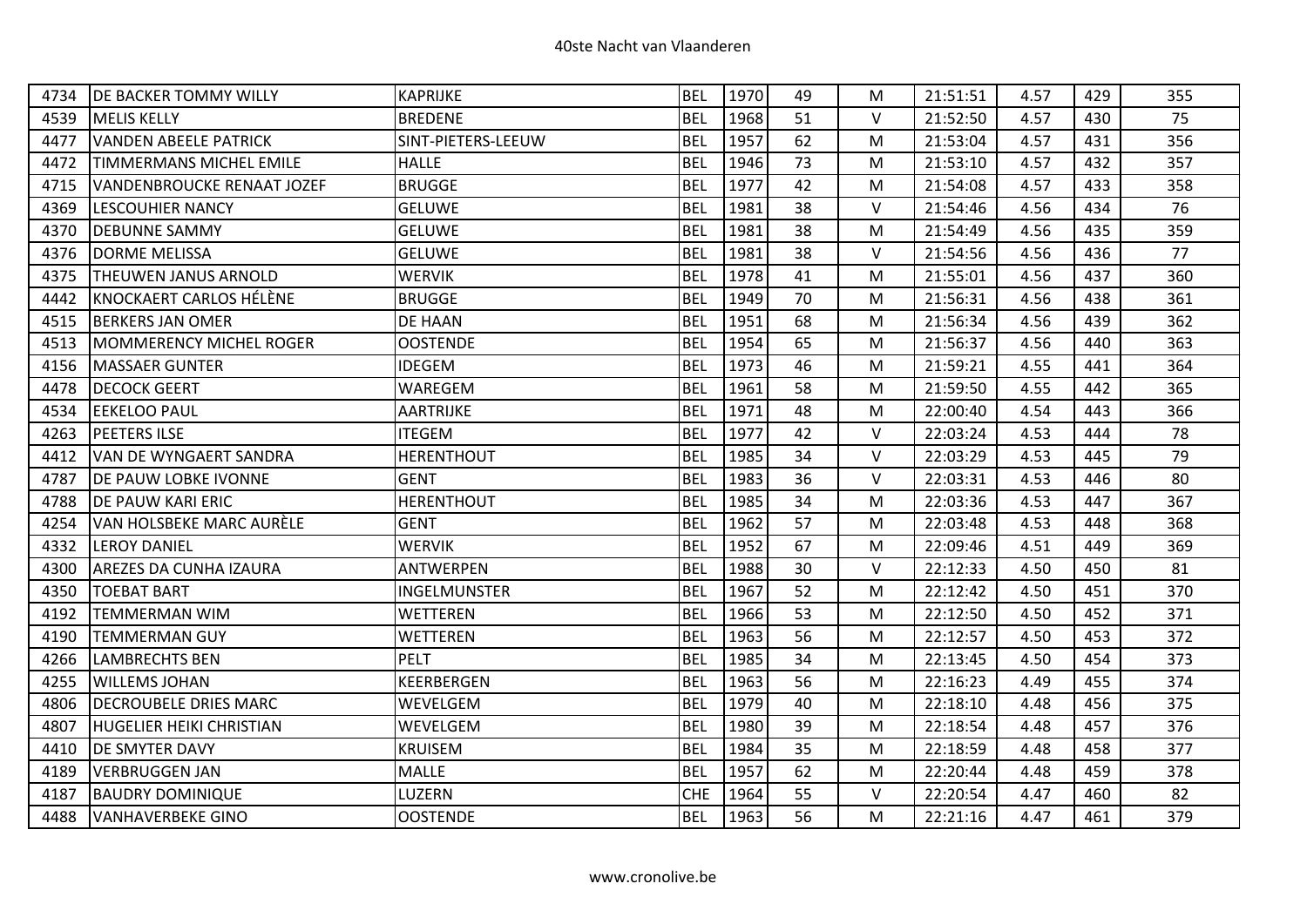| 4734 | <b>DE BACKER TOMMY WILLY</b>    | <b>KAPRIJKE</b>    | <b>BEL</b> | 1970 | 49 | М      | 21:51:51 | 4.57 | 429 | 355 |
|------|---------------------------------|--------------------|------------|------|----|--------|----------|------|-----|-----|
| 4539 | <b>MELIS KELLY</b>              | <b>BREDENE</b>     | <b>BEL</b> | 1968 | 51 | $\vee$ | 21:52:50 | 4.57 | 430 | 75  |
| 4477 | <b>VANDEN ABEELE PATRICK</b>    | SINT-PIETERS-LEEUW | <b>BEL</b> | 1957 | 62 | M      | 21:53:04 | 4.57 | 431 | 356 |
| 4472 | <b>TIMMERMANS MICHEL EMILE</b>  | <b>HALLE</b>       | <b>BEL</b> | 1946 | 73 | м      | 21:53:10 | 4.57 | 432 | 357 |
| 4715 | VANDENBROUCKE RENAAT JOZEF      | <b>BRUGGE</b>      | <b>BEL</b> | 1977 | 42 | M      | 21:54:08 | 4.57 | 433 | 358 |
| 4369 | <b>LESCOUHIER NANCY</b>         | <b>GELUWE</b>      | <b>BEL</b> | 1981 | 38 | $\vee$ | 21:54:46 | 4.56 | 434 | 76  |
| 4370 | <b>DEBUNNE SAMMY</b>            | <b>GELUWE</b>      | <b>BEL</b> | 1981 | 38 | м      | 21:54:49 | 4.56 | 435 | 359 |
| 4376 | DORME MELISSA                   | <b>GELUWE</b>      | <b>BEL</b> | 1981 | 38 | $\vee$ | 21:54:56 | 4.56 | 436 | 77  |
| 4375 | <b>THEUWEN JANUS ARNOLD</b>     | <b>WERVIK</b>      | <b>BEL</b> | 1978 | 41 | м      | 21:55:01 | 4.56 | 437 | 360 |
| 4442 | KNOCKAERT CARLOS HÉLÈNE         | <b>BRUGGE</b>      | <b>BEL</b> | 1949 | 70 | M      | 21:56:31 | 4.56 | 438 | 361 |
| 4515 | <b>BERKERS JAN OMER</b>         | DE HAAN            | <b>BEL</b> | 1951 | 68 | M      | 21:56:34 | 4.56 | 439 | 362 |
| 4513 | MOMMERENCY MICHEL ROGER         | <b>OOSTENDE</b>    | <b>BEL</b> | 1954 | 65 | M      | 21:56:37 | 4.56 | 440 | 363 |
| 4156 | <b>MASSAER GUNTER</b>           | IDEGEM             | <b>BEL</b> | 1973 | 46 | М      | 21:59:21 | 4.55 | 441 | 364 |
| 4478 | <b>DECOCK GEERT</b>             | WAREGEM            | <b>BEL</b> | 1961 | 58 | M      | 21:59:50 | 4.55 | 442 | 365 |
| 4534 | <b>EEKELOO PAUL</b>             | AARTRIJKE          | <b>BEL</b> | 1971 | 48 | M      | 22:00:40 | 4.54 | 443 | 366 |
| 4263 | <b>PEETERS ILSE</b>             | <b>ITEGEM</b>      | <b>BEL</b> | 1977 | 42 | $\vee$ | 22:03:24 | 4.53 | 444 | 78  |
| 4412 | VAN DE WYNGAERT SANDRA          | <b>HERENTHOUT</b>  | <b>BEL</b> | 1985 | 34 | V      | 22:03:29 | 4.53 | 445 | 79  |
| 4787 | <b>DE PAUW LOBKE IVONNE</b>     | <b>GENT</b>        | <b>BEL</b> | 1983 | 36 | $\vee$ | 22:03:31 | 4.53 | 446 | 80  |
| 4788 | <b>DE PAUW KARI ERIC</b>        | <b>HERENTHOUT</b>  | <b>BEL</b> | 1985 | 34 | M      | 22:03:36 | 4.53 | 447 | 367 |
| 4254 | VAN HOLSBEKE MARC AURÈLE        | <b>GENT</b>        | <b>BEL</b> | 1962 | 57 | М      | 22:03:48 | 4.53 | 448 | 368 |
| 4332 | <b>LEROY DANIEL</b>             | <b>WERVIK</b>      | <b>BEL</b> | 1952 | 67 | M      | 22:09:46 | 4.51 | 449 | 369 |
| 4300 | <b>AREZES DA CUNHA IZAURA</b>   | <b>ANTWERPEN</b>   | <b>BEL</b> | 1988 | 30 | V      | 22:12:33 | 4.50 | 450 | 81  |
| 4350 | <b>TOEBAT BART</b>              | INGELMUNSTER       | <b>BEL</b> | 1967 | 52 | М      | 22:12:42 | 4.50 | 451 | 370 |
| 4192 | <b>TEMMERMAN WIM</b>            | <b>WETTEREN</b>    | <b>BEL</b> | 1966 | 53 | м      | 22:12:50 | 4.50 | 452 | 371 |
| 4190 | <b>TEMMERMAN GUY</b>            | <b>WETTEREN</b>    | <b>BEL</b> | 1963 | 56 | M      | 22:12:57 | 4.50 | 453 | 372 |
| 4266 | <b>LAMBRECHTS BEN</b>           | <b>PELT</b>        | <b>BEL</b> | 1985 | 34 | М      | 22:13:45 | 4.50 | 454 | 373 |
| 4255 | <b>WILLEMS JOHAN</b>            | <b>KEERBERGEN</b>  | <b>BEL</b> | 1963 | 56 | М      | 22:16:23 | 4.49 | 455 | 374 |
| 4806 | <b>DECROUBELE DRIES MARC</b>    | WEVELGEM           | <b>BEL</b> | 1979 | 40 | М      | 22:18:10 | 4.48 | 456 | 375 |
| 4807 | <b>HUGELIER HEIKI CHRISTIAN</b> | WEVELGEM           | <b>BEL</b> | 1980 | 39 | M      | 22:18:54 | 4.48 | 457 | 376 |
| 4410 | <b>DE SMYTER DAVY</b>           | <b>KRUISEM</b>     | <b>BEL</b> | 1984 | 35 | м      | 22:18:59 | 4.48 | 458 | 377 |
| 4189 | <b>VERBRUGGEN JAN</b>           | <b>MALLE</b>       | <b>BEL</b> | 1957 | 62 | M      | 22:20:44 | 4.48 | 459 | 378 |
| 4187 | <b>BAUDRY DOMINIQUE</b>         | LUZERN             | <b>CHE</b> | 1964 | 55 | V      | 22:20:54 | 4.47 | 460 | 82  |
| 4488 | <b>VANHAVERBEKE GINO</b>        | <b>OOSTENDE</b>    | <b>BEL</b> | 1963 | 56 | M      | 22:21:16 | 4.47 | 461 | 379 |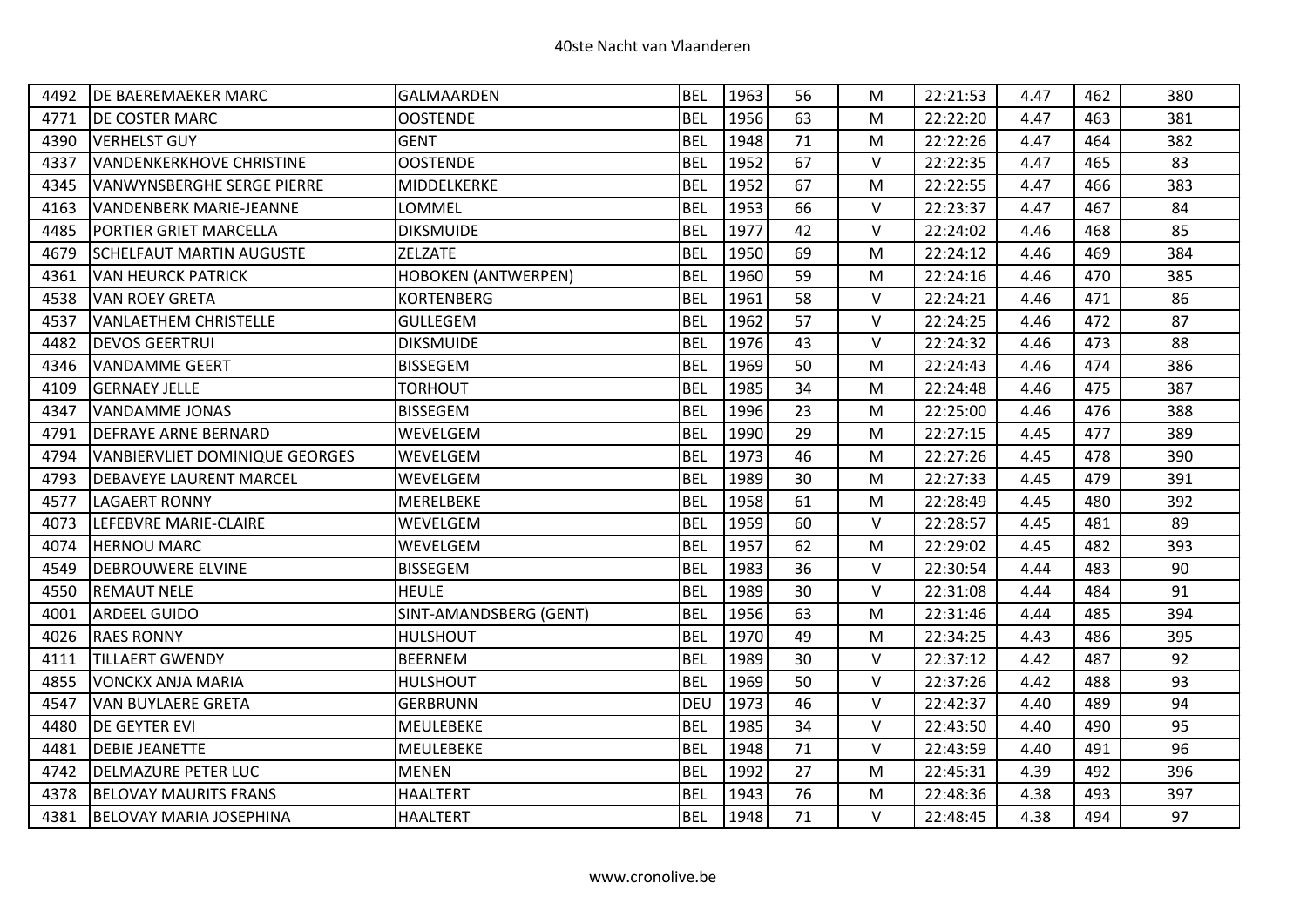| 4492 | <b>DE BAEREMAEKER MARC</b>      | <b>GALMAARDEN</b>          | <b>BEL</b> | 1963 | 56 | М      | 22:21:53 | 4.47 | 462 | 380 |
|------|---------------------------------|----------------------------|------------|------|----|--------|----------|------|-----|-----|
| 4771 | <b>DE COSTER MARC</b>           | <b>OOSTENDE</b>            | <b>BEL</b> | 1956 | 63 | M      | 22:22:20 | 4.47 | 463 | 381 |
| 4390 | <b>VERHELST GUY</b>             | <b>GENT</b>                | <b>BEL</b> | 1948 | 71 | M      | 22:22:26 | 4.47 | 464 | 382 |
| 4337 | <b>VANDENKERKHOVE CHRISTINE</b> | <b>OOSTENDE</b>            | <b>BEL</b> | 1952 | 67 | V      | 22:22:35 | 4.47 | 465 | 83  |
| 4345 | VANWYNSBERGHE SERGE PIERRE      | MIDDELKERKE                | <b>BEL</b> | 1952 | 67 | M      | 22:22:55 | 4.47 | 466 | 383 |
| 4163 | <b>VANDENBERK MARIE-JEANNE</b>  | LOMMEL                     | <b>BEL</b> | 1953 | 66 | $\vee$ | 22:23:37 | 4.47 | 467 | 84  |
| 4485 | <b>PORTIER GRIET MARCELLA</b>   | <b>DIKSMUIDE</b>           | <b>BEL</b> | 1977 | 42 | $\vee$ | 22:24:02 | 4.46 | 468 | 85  |
| 4679 | <b>SCHELFAUT MARTIN AUGUSTE</b> | ZELZATE                    | <b>BEL</b> | 1950 | 69 | М      | 22:24:12 | 4.46 | 469 | 384 |
| 4361 | <b>VAN HEURCK PATRICK</b>       | <b>HOBOKEN (ANTWERPEN)</b> | <b>BEL</b> | 1960 | 59 | M      | 22:24:16 | 4.46 | 470 | 385 |
| 4538 | <b>VAN ROEY GRETA</b>           | <b>KORTENBERG</b>          | <b>BEL</b> | 1961 | 58 | V      | 22:24:21 | 4.46 | 471 | 86  |
| 4537 | <b>VANLAETHEM CHRISTELLE</b>    | <b>GULLEGEM</b>            | <b>BEL</b> | 1962 | 57 | $\vee$ | 22:24:25 | 4.46 | 472 | 87  |
| 4482 | <b>DEVOS GEERTRUI</b>           | <b>DIKSMUIDE</b>           | <b>BEL</b> | 1976 | 43 | $\vee$ | 22:24:32 | 4.46 | 473 | 88  |
| 4346 | <b>VANDAMME GEERT</b>           | <b>BISSEGEM</b>            | <b>BEL</b> | 1969 | 50 | М      | 22:24:43 | 4.46 | 474 | 386 |
| 4109 | <b>GERNAEY JELLE</b>            | <b>TORHOUT</b>             | <b>BEL</b> | 1985 | 34 | M      | 22:24:48 | 4.46 | 475 | 387 |
| 4347 | <b>VANDAMME JONAS</b>           | <b>BISSEGEM</b>            | <b>BEL</b> | 1996 | 23 | M      | 22:25:00 | 4.46 | 476 | 388 |
| 4791 | <b>DEFRAYE ARNE BERNARD</b>     | WEVELGEM                   | <b>BEL</b> | 1990 | 29 | M      | 22:27:15 | 4.45 | 477 | 389 |
| 4794 | VANBIERVLIET DOMINIQUE GEORGES  | WEVELGEM                   | <b>BEL</b> | 1973 | 46 | M      | 22:27:26 | 4.45 | 478 | 390 |
| 4793 | <b>DEBAVEYE LAURENT MARCEL</b>  | WEVELGEM                   | <b>BEL</b> | 1989 | 30 | M      | 22:27:33 | 4.45 | 479 | 391 |
| 4577 | <b>LAGAERT RONNY</b>            | <b>MERELBEKE</b>           | <b>BEL</b> | 1958 | 61 | M      | 22:28:49 | 4.45 | 480 | 392 |
| 4073 | LEFEBVRE MARIE-CLAIRE           | WEVELGEM                   | <b>BEL</b> | 1959 | 60 | $\vee$ | 22:28:57 | 4.45 | 481 | 89  |
| 4074 | <b>HERNOU MARC</b>              | WEVELGEM                   | <b>BEL</b> | 1957 | 62 | M      | 22:29:02 | 4.45 | 482 | 393 |
| 4549 | <b>DEBROUWERE ELVINE</b>        | <b>BISSEGEM</b>            | <b>BEL</b> | 1983 | 36 | $\vee$ | 22:30:54 | 4.44 | 483 | 90  |
| 4550 | <b>REMAUT NELE</b>              | <b>HEULE</b>               | <b>BEL</b> | 1989 | 30 | $\vee$ | 22:31:08 | 4.44 | 484 | 91  |
| 4001 | <b>ARDEEL GUIDO</b>             | SINT-AMANDSBERG (GENT)     | <b>BEL</b> | 1956 | 63 | M      | 22:31:46 | 4.44 | 485 | 394 |
| 4026 | <b>RAES RONNY</b>               | <b>HULSHOUT</b>            | <b>BEL</b> | 1970 | 49 | M      | 22:34:25 | 4.43 | 486 | 395 |
| 4111 | <b>TILLAERT GWENDY</b>          | <b>BEERNEM</b>             | <b>BEL</b> | 1989 | 30 | $\vee$ | 22:37:12 | 4.42 | 487 | 92  |
| 4855 | <b>VONCKX ANJA MARIA</b>        | <b>HULSHOUT</b>            | <b>BEL</b> | 1969 | 50 | V      | 22:37:26 | 4.42 | 488 | 93  |
| 4547 | <b>VAN BUYLAERE GRETA</b>       | <b>GERBRUNN</b>            | <b>DEU</b> | 1973 | 46 | V      | 22:42:37 | 4.40 | 489 | 94  |
| 4480 | DE GEYTER EVI                   | MEULEBEKE                  | <b>BEL</b> | 1985 | 34 | $\vee$ | 22:43:50 | 4.40 | 490 | 95  |
| 4481 | <b>DEBIE JEANETTE</b>           | <b>MEULEBEKE</b>           | <b>BEL</b> | 1948 | 71 | V      | 22:43:59 | 4.40 | 491 | 96  |
| 4742 | <b>DELMAZURE PETER LUC</b>      | <b>MENEN</b>               | <b>BEL</b> | 1992 | 27 | М      | 22:45:31 | 4.39 | 492 | 396 |
| 4378 | <b>BELOVAY MAURITS FRANS</b>    | <b>HAALTERT</b>            | <b>BEL</b> | 1943 | 76 | M      | 22:48:36 | 4.38 | 493 | 397 |
| 4381 | <b>BELOVAY MARIA JOSEPHINA</b>  | <b>HAALTERT</b>            | <b>BEL</b> | 1948 | 71 | $\vee$ | 22:48:45 | 4.38 | 494 | 97  |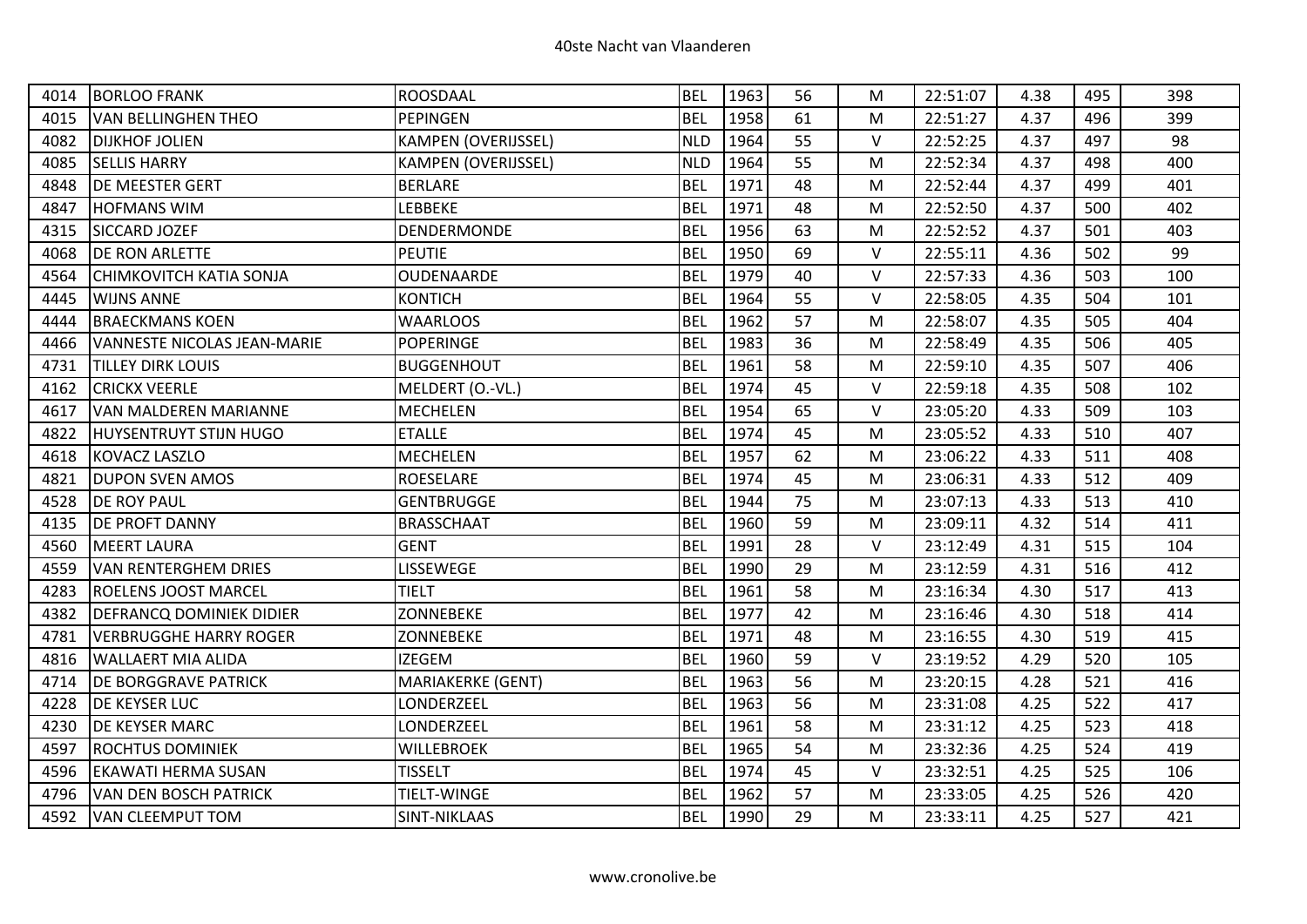| 4014 | <b>BORLOO FRANK</b>                | ROOSDAAL                   | <b>BEL</b> | 1963 | 56 | М      | 22:51:07 | 4.38 | 495 | 398 |
|------|------------------------------------|----------------------------|------------|------|----|--------|----------|------|-----|-----|
| 4015 | <b>VAN BELLINGHEN THEO</b>         | <b>PEPINGEN</b>            | <b>BEL</b> | 1958 | 61 | M      | 22:51:27 | 4.37 | 496 | 399 |
| 4082 | <b>DIJKHOF JOLIEN</b>              | <b>KAMPEN (OVERIJSSEL)</b> | <b>NLD</b> | 1964 | 55 | $\vee$ | 22:52:25 | 4.37 | 497 | 98  |
| 4085 | <b>SELLIS HARRY</b>                | <b>KAMPEN (OVERIJSSEL)</b> | <b>NLD</b> | 1964 | 55 | M      | 22:52:34 | 4.37 | 498 | 400 |
| 4848 | <b>DE MEESTER GERT</b>             | <b>BERLARE</b>             | <b>BEL</b> | 1971 | 48 | M      | 22:52:44 | 4.37 | 499 | 401 |
| 4847 | <b>HOFMANS WIM</b>                 | <b>LEBBEKE</b>             | <b>BEL</b> | 1971 | 48 | M      | 22:52:50 | 4.37 | 500 | 402 |
| 4315 | SICCARD JOZEF                      | <b>DENDERMONDE</b>         | <b>BEL</b> | 1956 | 63 | M      | 22:52:52 | 4.37 | 501 | 403 |
| 4068 | <b>DE RON ARLETTE</b>              | PEUTIE                     | <b>BEL</b> | 1950 | 69 | V      | 22:55:11 | 4.36 | 502 | 99  |
| 4564 | <b>CHIMKOVITCH KATIA SONJA</b>     | OUDENAARDE                 | <b>BEL</b> | 1979 | 40 | V      | 22:57:33 | 4.36 | 503 | 100 |
| 4445 | <b>WIJNS ANNE</b>                  | <b>KONTICH</b>             | <b>BEL</b> | 1964 | 55 | V      | 22:58:05 | 4.35 | 504 | 101 |
| 4444 | <b>BRAECKMANS KOEN</b>             | <b>WAARLOOS</b>            | <b>BEL</b> | 1962 | 57 | M      | 22:58:07 | 4.35 | 505 | 404 |
| 4466 | <b>VANNESTE NICOLAS JEAN-MARIE</b> | <b>POPERINGE</b>           | <b>BEL</b> | 1983 | 36 | M      | 22:58:49 | 4.35 | 506 | 405 |
| 4731 | <b>TILLEY DIRK LOUIS</b>           | <b>BUGGENHOUT</b>          | <b>BEL</b> | 1961 | 58 | M      | 22:59:10 | 4.35 | 507 | 406 |
| 4162 | <b>CRICKX VEERLE</b>               | MELDERT (O.-VL.)           | <b>BEL</b> | 1974 | 45 | V      | 22:59:18 | 4.35 | 508 | 102 |
| 4617 | <b>VAN MALDEREN MARIANNE</b>       | <b>MECHELEN</b>            | <b>BEL</b> | 1954 | 65 | V      | 23:05:20 | 4.33 | 509 | 103 |
| 4822 | <b>HUYSENTRUYT STIJN HUGO</b>      | <b>ETALLE</b>              | <b>BEL</b> | 1974 | 45 | M      | 23:05:52 | 4.33 | 510 | 407 |
| 4618 | <b>KOVACZ LASZLO</b>               | <b>MECHELEN</b>            | <b>BEL</b> | 1957 | 62 | M      | 23:06:22 | 4.33 | 511 | 408 |
| 4821 | <b>DUPON SVEN AMOS</b>             | <b>ROESELARE</b>           | <b>BEL</b> | 1974 | 45 | M      | 23:06:31 | 4.33 | 512 | 409 |
| 4528 | <b>DE ROY PAUL</b>                 | <b>GENTBRUGGE</b>          | <b>BEL</b> | 1944 | 75 | M      | 23:07:13 | 4.33 | 513 | 410 |
| 4135 | <b>DE PROFT DANNY</b>              | <b>BRASSCHAAT</b>          | <b>BEL</b> | 1960 | 59 | M      | 23:09:11 | 4.32 | 514 | 411 |
| 4560 | <b>MEERT LAURA</b>                 | <b>GENT</b>                | <b>BEL</b> | 1991 | 28 | $\vee$ | 23:12:49 | 4.31 | 515 | 104 |
| 4559 | <b>VAN RENTERGHEM DRIES</b>        | LISSEWEGE                  | <b>BEL</b> | 1990 | 29 | M      | 23:12:59 | 4.31 | 516 | 412 |
| 4283 | <b>ROELENS JOOST MARCEL</b>        | <b>TIELT</b>               | <b>BEL</b> | 1961 | 58 | M      | 23:16:34 | 4.30 | 517 | 413 |
| 4382 | DEFRANCQ DOMINIEK DIDIER           | ZONNEBEKE                  | <b>BEL</b> | 1977 | 42 | M      | 23:16:46 | 4.30 | 518 | 414 |
| 4781 | <b>VERBRUGGHE HARRY ROGER</b>      | ZONNEBEKE                  | <b>BEL</b> | 1971 | 48 | M      | 23:16:55 | 4.30 | 519 | 415 |
| 4816 | <b>WALLAERT MIA ALIDA</b>          | <b>IZEGEM</b>              | <b>BEL</b> | 1960 | 59 | $\vee$ | 23:19:52 | 4.29 | 520 | 105 |
| 4714 | <b>DE BORGGRAVE PATRICK</b>        | <b>MARIAKERKE (GENT)</b>   | <b>BEL</b> | 1963 | 56 | M      | 23:20:15 | 4.28 | 521 | 416 |
| 4228 | <b>DE KEYSER LUC</b>               | LONDERZEEL                 | <b>BEL</b> | 1963 | 56 | М      | 23:31:08 | 4.25 | 522 | 417 |
| 4230 | <b>DE KEYSER MARC</b>              | LONDERZEEL                 | <b>BEL</b> | 1961 | 58 | M      | 23:31:12 | 4.25 | 523 | 418 |
| 4597 | <b>ROCHTUS DOMINIEK</b>            | <b>WILLEBROEK</b>          | <b>BEL</b> | 1965 | 54 | M      | 23:32:36 | 4.25 | 524 | 419 |
| 4596 | <b>EKAWATI HERMA SUSAN</b>         | <b>TISSELT</b>             | <b>BEL</b> | 1974 | 45 | V      | 23:32:51 | 4.25 | 525 | 106 |
| 4796 | VAN DEN BOSCH PATRICK              | TIELT-WINGE                | <b>BEL</b> | 1962 | 57 | М      | 23:33:05 | 4.25 | 526 | 420 |
| 4592 | <b>VAN CLEEMPUT TOM</b>            | SINT-NIKLAAS               | <b>BEL</b> | 1990 | 29 | M      | 23:33:11 | 4.25 | 527 | 421 |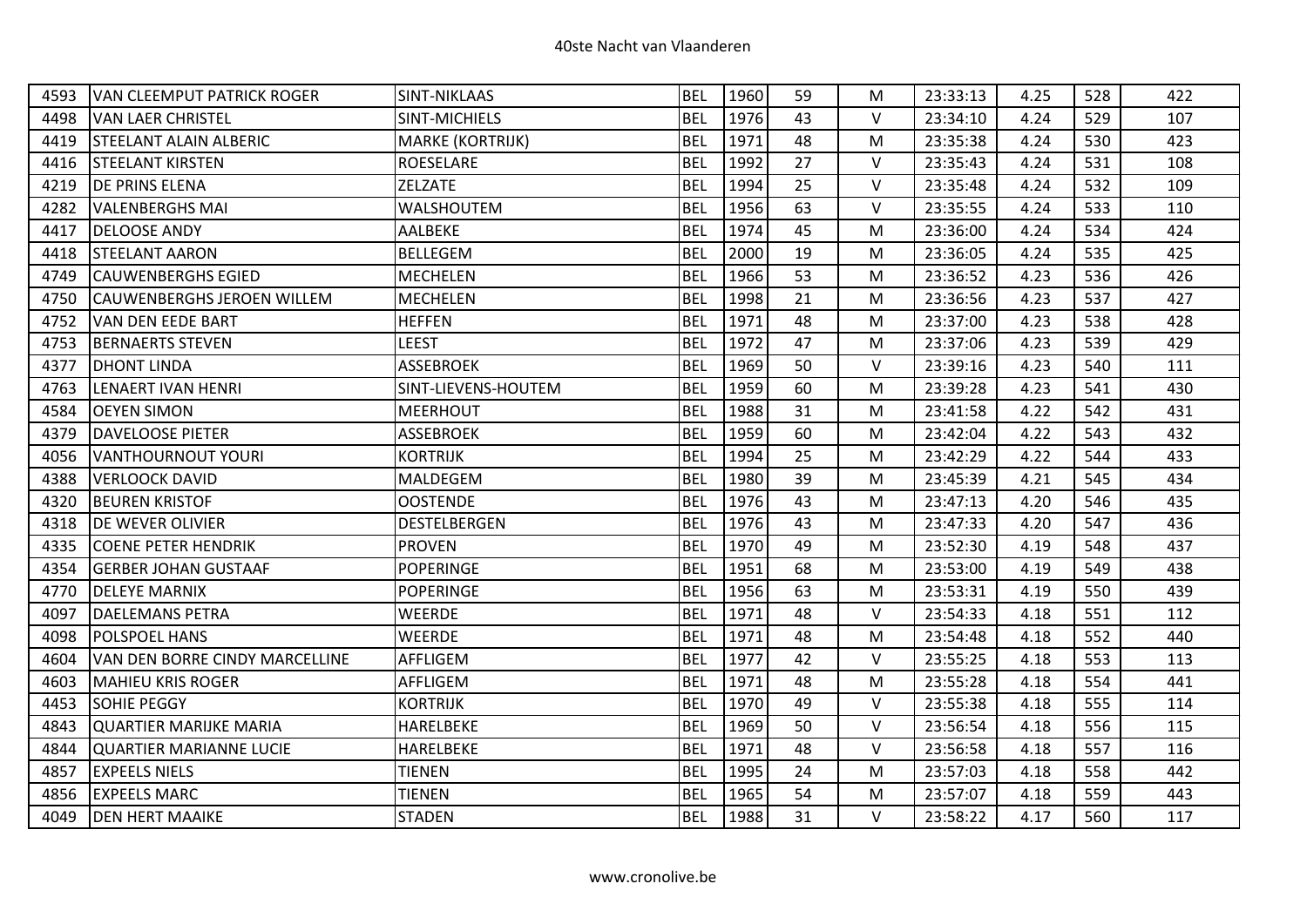| 4593 | <b>VAN CLEEMPUT PATRICK ROGER</b> | SINT-NIKLAAS        | <b>BEL</b> | 1960 | 59 | М | 23:33:13 | 4.25 | 528 | 422 |
|------|-----------------------------------|---------------------|------------|------|----|---|----------|------|-----|-----|
| 4498 | <b>VAN LAER CHRISTEL</b>          | SINT-MICHIELS       | <b>BEL</b> | 1976 | 43 | V | 23:34:10 | 4.24 | 529 | 107 |
| 4419 | <b>STEELANT ALAIN ALBERIC</b>     | MARKE (KORTRIJK)    | <b>BEL</b> | 1971 | 48 | М | 23:35:38 | 4.24 | 530 | 423 |
| 4416 | <b>STEELANT KIRSTEN</b>           | <b>ROESELARE</b>    | <b>BEL</b> | 1992 | 27 | V | 23:35:43 | 4.24 | 531 | 108 |
| 4219 | <b>DE PRINS ELENA</b>             | <b>ZELZATE</b>      | <b>BEL</b> | 1994 | 25 | V | 23:35:48 | 4.24 | 532 | 109 |
| 4282 | <b>VALENBERGHS MAI</b>            | WALSHOUTEM          | <b>BEL</b> | 1956 | 63 | V | 23:35:55 | 4.24 | 533 | 110 |
| 4417 | <b>DELOOSE ANDY</b>               | AALBEKE             | <b>BEL</b> | 1974 | 45 | м | 23:36:00 | 4.24 | 534 | 424 |
| 4418 | <b>STEELANT AARON</b>             | <b>BELLEGEM</b>     | <b>BEL</b> | 2000 | 19 | М | 23:36:05 | 4.24 | 535 | 425 |
| 4749 | <b>CAUWENBERGHS EGIED</b>         | <b>MECHELEN</b>     | <b>BEL</b> | 1966 | 53 | M | 23:36:52 | 4.23 | 536 | 426 |
| 4750 | <b>CAUWENBERGHS JEROEN WILLEM</b> | <b>MECHELEN</b>     | <b>BEL</b> | 1998 | 21 | M | 23:36:56 | 4.23 | 537 | 427 |
| 4752 | VAN DEN EEDE BART                 | <b>HEFFEN</b>       | <b>BEL</b> | 1971 | 48 | М | 23:37:00 | 4.23 | 538 | 428 |
| 4753 | <b>BERNAERTS STEVEN</b>           | LEEST               | <b>BEL</b> | 1972 | 47 | M | 23:37:06 | 4.23 | 539 | 429 |
| 4377 | <b>DHONT LINDA</b>                | <b>ASSEBROEK</b>    | <b>BEL</b> | 1969 | 50 | V | 23:39:16 | 4.23 | 540 | 111 |
| 4763 | <b>LENAERT IVAN HENRI</b>         | SINT-LIEVENS-HOUTEM | <b>BEL</b> | 1959 | 60 | M | 23:39:28 | 4.23 | 541 | 430 |
| 4584 | <b>OEYEN SIMON</b>                | <b>MEERHOUT</b>     | <b>BEL</b> | 1988 | 31 | M | 23:41:58 | 4.22 | 542 | 431 |
| 4379 | <b>DAVELOOSE PIETER</b>           | <b>ASSEBROEK</b>    | <b>BEL</b> | 1959 | 60 | M | 23:42:04 | 4.22 | 543 | 432 |
| 4056 | <b>VANTHOURNOUT YOURI</b>         | <b>KORTRIJK</b>     | <b>BEL</b> | 1994 | 25 | M | 23:42:29 | 4.22 | 544 | 433 |
| 4388 | <b>VERLOOCK DAVID</b>             | MALDEGEM            | <b>BEL</b> | 1980 | 39 | M | 23:45:39 | 4.21 | 545 | 434 |
| 4320 | <b>BEUREN KRISTOF</b>             | <b>OOSTENDE</b>     | <b>BEL</b> | 1976 | 43 | М | 23:47:13 | 4.20 | 546 | 435 |
| 4318 | <b>DE WEVER OLIVIER</b>           | DESTELBERGEN        | <b>BEL</b> | 1976 | 43 | M | 23:47:33 | 4.20 | 547 | 436 |
| 4335 | <b>COENE PETER HENDRIK</b>        | <b>PROVEN</b>       | <b>BEL</b> | 1970 | 49 | M | 23:52:30 | 4.19 | 548 | 437 |
| 4354 | <b>GERBER JOHAN GUSTAAF</b>       | <b>POPERINGE</b>    | <b>BEL</b> | 1951 | 68 | M | 23:53:00 | 4.19 | 549 | 438 |
| 4770 | <b>DELEYE MARNIX</b>              | <b>POPERINGE</b>    | <b>BEL</b> | 1956 | 63 | M | 23:53:31 | 4.19 | 550 | 439 |
| 4097 | <b>DAELEMANS PETRA</b>            | WEERDE              | <b>BEL</b> | 1971 | 48 | V | 23:54:33 | 4.18 | 551 | 112 |
| 4098 | POLSPOEL HANS                     | <b>WEERDE</b>       | <b>BEL</b> | 1971 | 48 | M | 23:54:48 | 4.18 | 552 | 440 |
| 4604 | VAN DEN BORRE CINDY MARCELLINE    | AFFLIGEM            | <b>BEL</b> | 1977 | 42 | V | 23:55:25 | 4.18 | 553 | 113 |
| 4603 | <b>MAHIEU KRIS ROGER</b>          | AFFLIGEM            | <b>BEL</b> | 1971 | 48 | M | 23:55:28 | 4.18 | 554 | 441 |
| 4453 | <b>SOHIE PEGGY</b>                | <b>KORTRIJK</b>     | <b>BEL</b> | 1970 | 49 | V | 23:55:38 | 4.18 | 555 | 114 |
| 4843 | QUARTIER MARIJKE MARIA            | HARELBEKE           | <b>BEL</b> | 1969 | 50 | V | 23:56:54 | 4.18 | 556 | 115 |
| 4844 | <b>QUARTIER MARIANNE LUCIE</b>    | HARELBEKE           | <b>BEL</b> | 1971 | 48 | V | 23:56:58 | 4.18 | 557 | 116 |
| 4857 | <b>EXPEELS NIELS</b>              | <b>TIENEN</b>       | <b>BEL</b> | 1995 | 24 | м | 23:57:03 | 4.18 | 558 | 442 |
| 4856 | <b>EXPEELS MARC</b>               | <b>TIENEN</b>       | <b>BEL</b> | 1965 | 54 | M | 23:57:07 | 4.18 | 559 | 443 |
| 4049 | <b>DEN HERT MAAIKE</b>            | <b>STADEN</b>       | <b>BEL</b> | 1988 | 31 | V | 23:58:22 | 4.17 | 560 | 117 |